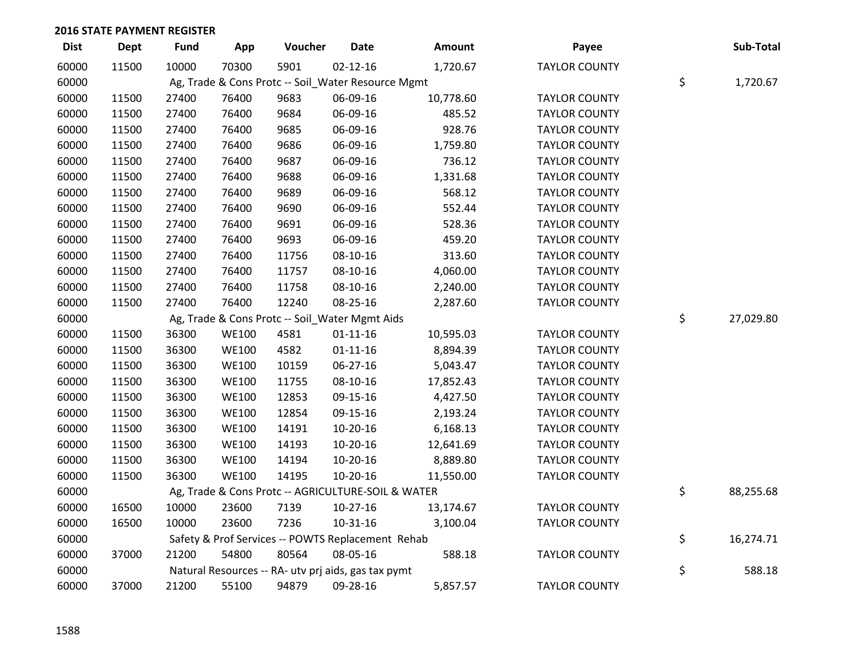| <b>Dist</b> | Dept  | <b>Fund</b> | App          | Voucher                                             | <b>Date</b>    | Amount    | Payee                | Sub-Total       |
|-------------|-------|-------------|--------------|-----------------------------------------------------|----------------|-----------|----------------------|-----------------|
| 60000       | 11500 | 10000       | 70300        | 5901                                                | $02 - 12 - 16$ | 1,720.67  | <b>TAYLOR COUNTY</b> |                 |
| 60000       |       |             |              | Ag, Trade & Cons Protc -- Soil_Water Resource Mgmt  |                |           |                      | \$<br>1,720.67  |
| 60000       | 11500 | 27400       | 76400        | 9683                                                | 06-09-16       | 10,778.60 | <b>TAYLOR COUNTY</b> |                 |
| 60000       | 11500 | 27400       | 76400        | 9684                                                | 06-09-16       | 485.52    | <b>TAYLOR COUNTY</b> |                 |
| 60000       | 11500 | 27400       | 76400        | 9685                                                | 06-09-16       | 928.76    | <b>TAYLOR COUNTY</b> |                 |
| 60000       | 11500 | 27400       | 76400        | 9686                                                | 06-09-16       | 1,759.80  | <b>TAYLOR COUNTY</b> |                 |
| 60000       | 11500 | 27400       | 76400        | 9687                                                | 06-09-16       | 736.12    | <b>TAYLOR COUNTY</b> |                 |
| 60000       | 11500 | 27400       | 76400        | 9688                                                | 06-09-16       | 1,331.68  | <b>TAYLOR COUNTY</b> |                 |
| 60000       | 11500 | 27400       | 76400        | 9689                                                | 06-09-16       | 568.12    | <b>TAYLOR COUNTY</b> |                 |
| 60000       | 11500 | 27400       | 76400        | 9690                                                | 06-09-16       | 552.44    | <b>TAYLOR COUNTY</b> |                 |
| 60000       | 11500 | 27400       | 76400        | 9691                                                | 06-09-16       | 528.36    | <b>TAYLOR COUNTY</b> |                 |
| 60000       | 11500 | 27400       | 76400        | 9693                                                | 06-09-16       | 459.20    | <b>TAYLOR COUNTY</b> |                 |
| 60000       | 11500 | 27400       | 76400        | 11756                                               | 08-10-16       | 313.60    | <b>TAYLOR COUNTY</b> |                 |
| 60000       | 11500 | 27400       | 76400        | 11757                                               | 08-10-16       | 4,060.00  | <b>TAYLOR COUNTY</b> |                 |
| 60000       | 11500 | 27400       | 76400        | 11758                                               | 08-10-16       | 2,240.00  | <b>TAYLOR COUNTY</b> |                 |
| 60000       | 11500 | 27400       | 76400        | 12240                                               | 08-25-16       | 2,287.60  | <b>TAYLOR COUNTY</b> |                 |
| 60000       |       |             |              | Ag, Trade & Cons Protc -- Soil_Water Mgmt Aids      |                |           |                      | \$<br>27,029.80 |
| 60000       | 11500 | 36300       | <b>WE100</b> | 4581                                                | $01 - 11 - 16$ | 10,595.03 | <b>TAYLOR COUNTY</b> |                 |
| 60000       | 11500 | 36300       | <b>WE100</b> | 4582                                                | $01 - 11 - 16$ | 8,894.39  | <b>TAYLOR COUNTY</b> |                 |
| 60000       | 11500 | 36300       | <b>WE100</b> | 10159                                               | 06-27-16       | 5,043.47  | <b>TAYLOR COUNTY</b> |                 |
| 60000       | 11500 | 36300       | <b>WE100</b> | 11755                                               | 08-10-16       | 17,852.43 | <b>TAYLOR COUNTY</b> |                 |
| 60000       | 11500 | 36300       | <b>WE100</b> | 12853                                               | 09-15-16       | 4,427.50  | <b>TAYLOR COUNTY</b> |                 |
| 60000       | 11500 | 36300       | <b>WE100</b> | 12854                                               | 09-15-16       | 2,193.24  | <b>TAYLOR COUNTY</b> |                 |
| 60000       | 11500 | 36300       | <b>WE100</b> | 14191                                               | 10-20-16       | 6,168.13  | <b>TAYLOR COUNTY</b> |                 |
| 60000       | 11500 | 36300       | <b>WE100</b> | 14193                                               | 10-20-16       | 12,641.69 | <b>TAYLOR COUNTY</b> |                 |
| 60000       | 11500 | 36300       | <b>WE100</b> | 14194                                               | 10-20-16       | 8,889.80  | <b>TAYLOR COUNTY</b> |                 |
| 60000       | 11500 | 36300       | <b>WE100</b> | 14195                                               | 10-20-16       | 11,550.00 | <b>TAYLOR COUNTY</b> |                 |
| 60000       |       |             |              | Ag, Trade & Cons Protc -- AGRICULTURE-SOIL & WATER  |                |           |                      | \$<br>88,255.68 |
| 60000       | 16500 | 10000       | 23600        | 7139                                                | $10-27-16$     | 13,174.67 | <b>TAYLOR COUNTY</b> |                 |
| 60000       | 16500 | 10000       | 23600        | 7236                                                | 10-31-16       | 3,100.04  | <b>TAYLOR COUNTY</b> |                 |
| 60000       |       |             |              | Safety & Prof Services -- POWTS Replacement Rehab   |                |           |                      | \$<br>16,274.71 |
| 60000       | 37000 | 21200       | 54800        | 80564                                               | 08-05-16       | 588.18    | <b>TAYLOR COUNTY</b> |                 |
| 60000       |       |             |              | Natural Resources -- RA- utv prj aids, gas tax pymt |                |           |                      | \$<br>588.18    |
| 60000       | 37000 | 21200       | 55100        | 94879                                               | 09-28-16       | 5,857.57  | <b>TAYLOR COUNTY</b> |                 |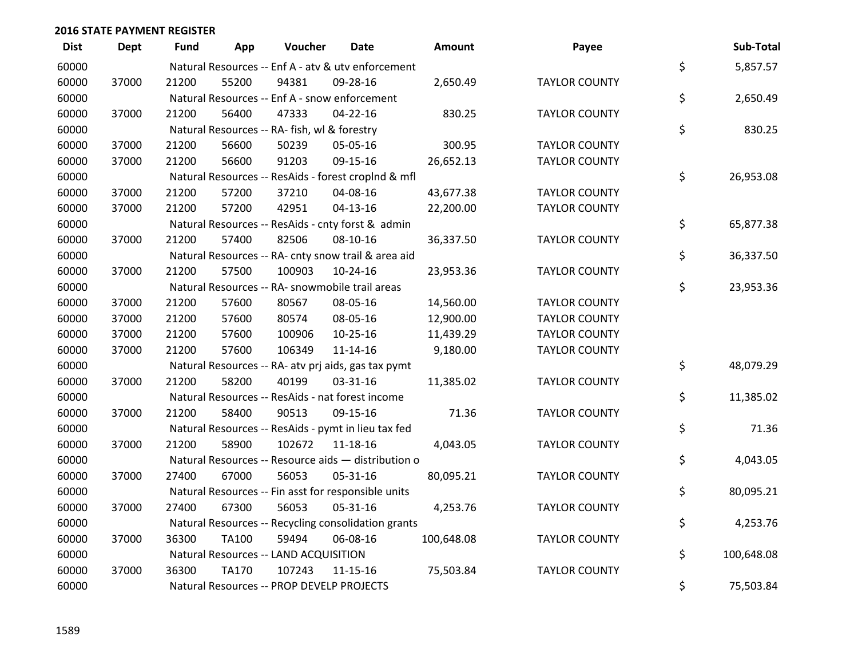| <b>Dist</b> | <b>Dept</b> | <b>Fund</b> | App          | Voucher                                             | <b>Date</b>    | Amount     | Payee                | Sub-Total        |
|-------------|-------------|-------------|--------------|-----------------------------------------------------|----------------|------------|----------------------|------------------|
| 60000       |             |             |              | Natural Resources -- Enf A - atv & utv enforcement  |                |            |                      | \$<br>5,857.57   |
| 60000       | 37000       | 21200       | 55200        | 94381                                               | 09-28-16       | 2,650.49   | <b>TAYLOR COUNTY</b> |                  |
| 60000       |             |             |              | Natural Resources -- Enf A - snow enforcement       |                |            |                      | \$<br>2,650.49   |
| 60000       | 37000       | 21200       | 56400        | 47333                                               | 04-22-16       | 830.25     | <b>TAYLOR COUNTY</b> |                  |
| 60000       |             |             |              | Natural Resources -- RA- fish, wl & forestry        |                |            |                      | \$<br>830.25     |
| 60000       | 37000       | 21200       | 56600        | 50239                                               | 05-05-16       | 300.95     | <b>TAYLOR COUNTY</b> |                  |
| 60000       | 37000       | 21200       | 56600        | 91203                                               | 09-15-16       | 26,652.13  | <b>TAYLOR COUNTY</b> |                  |
| 60000       |             |             |              | Natural Resources -- ResAids - forest croplnd & mfl |                |            |                      | \$<br>26,953.08  |
| 60000       | 37000       | 21200       | 57200        | 37210                                               | 04-08-16       | 43,677.38  | <b>TAYLOR COUNTY</b> |                  |
| 60000       | 37000       | 21200       | 57200        | 42951                                               | $04 - 13 - 16$ | 22,200.00  | <b>TAYLOR COUNTY</b> |                  |
| 60000       |             |             |              | Natural Resources -- ResAids - cnty forst & admin   |                |            |                      | \$<br>65,877.38  |
| 60000       | 37000       | 21200       | 57400        | 82506                                               | 08-10-16       | 36,337.50  | <b>TAYLOR COUNTY</b> |                  |
| 60000       |             |             |              | Natural Resources -- RA- cnty snow trail & area aid |                |            |                      | \$<br>36,337.50  |
| 60000       | 37000       | 21200       | 57500        | 100903                                              | $10-24-16$     | 23,953.36  | <b>TAYLOR COUNTY</b> |                  |
| 60000       |             |             |              | Natural Resources -- RA- snowmobile trail areas     |                |            |                      | \$<br>23,953.36  |
| 60000       | 37000       | 21200       | 57600        | 80567                                               | 08-05-16       | 14,560.00  | <b>TAYLOR COUNTY</b> |                  |
| 60000       | 37000       | 21200       | 57600        | 80574                                               | 08-05-16       | 12,900.00  | <b>TAYLOR COUNTY</b> |                  |
| 60000       | 37000       | 21200       | 57600        | 100906                                              | 10-25-16       | 11,439.29  | <b>TAYLOR COUNTY</b> |                  |
| 60000       | 37000       | 21200       | 57600        | 106349                                              | $11 - 14 - 16$ | 9,180.00   | <b>TAYLOR COUNTY</b> |                  |
| 60000       |             |             |              | Natural Resources -- RA- atv prj aids, gas tax pymt |                |            |                      | \$<br>48,079.29  |
| 60000       | 37000       | 21200       | 58200        | 40199                                               | 03-31-16       | 11,385.02  | <b>TAYLOR COUNTY</b> |                  |
| 60000       |             |             |              | Natural Resources -- ResAids - nat forest income    |                |            |                      | \$<br>11,385.02  |
| 60000       | 37000       | 21200       | 58400        | 90513                                               | 09-15-16       | 71.36      | <b>TAYLOR COUNTY</b> |                  |
| 60000       |             |             |              | Natural Resources -- ResAids - pymt in lieu tax fed |                |            |                      | \$<br>71.36      |
| 60000       | 37000       | 21200       | 58900        | 102672                                              | 11-18-16       | 4,043.05   | <b>TAYLOR COUNTY</b> |                  |
| 60000       |             |             |              | Natural Resources -- Resource aids - distribution o |                |            |                      | \$<br>4,043.05   |
| 60000       | 37000       | 27400       | 67000        | 56053                                               | 05-31-16       | 80,095.21  | <b>TAYLOR COUNTY</b> |                  |
| 60000       |             |             |              | Natural Resources -- Fin asst for responsible units |                |            |                      | \$<br>80,095.21  |
| 60000       | 37000       | 27400       | 67300        | 56053                                               | 05-31-16       | 4,253.76   | <b>TAYLOR COUNTY</b> |                  |
| 60000       |             |             |              | Natural Resources -- Recycling consolidation grants |                |            |                      | \$<br>4,253.76   |
| 60000       | 37000       | 36300       | <b>TA100</b> | 59494                                               | 06-08-16       | 100,648.08 | <b>TAYLOR COUNTY</b> |                  |
| 60000       |             |             |              | Natural Resources -- LAND ACQUISITION               |                |            |                      | \$<br>100,648.08 |
| 60000       | 37000       | 36300       | <b>TA170</b> | 107243                                              | $11 - 15 - 16$ | 75,503.84  | <b>TAYLOR COUNTY</b> |                  |
| 60000       |             |             |              | Natural Resources -- PROP DEVELP PROJECTS           |                |            |                      | \$<br>75,503.84  |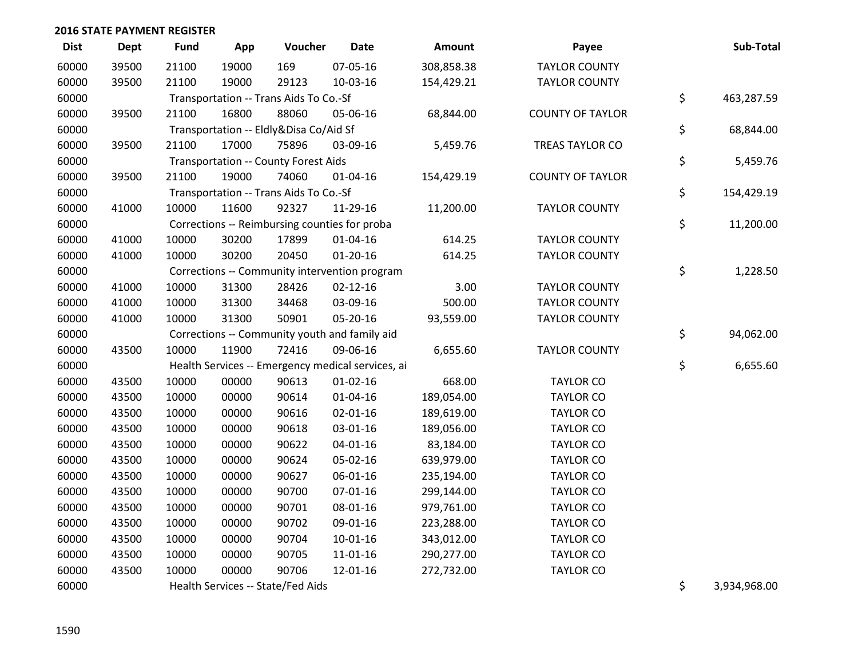| <b>Dist</b> | Dept  | <b>Fund</b> | App   | Voucher                                           | <b>Date</b>    | Amount     | Payee                   | Sub-Total          |
|-------------|-------|-------------|-------|---------------------------------------------------|----------------|------------|-------------------------|--------------------|
| 60000       | 39500 | 21100       | 19000 | 169                                               | 07-05-16       | 308,858.38 | <b>TAYLOR COUNTY</b>    |                    |
| 60000       | 39500 | 21100       | 19000 | 29123                                             | 10-03-16       | 154,429.21 | <b>TAYLOR COUNTY</b>    |                    |
| 60000       |       |             |       | Transportation -- Trans Aids To Co.-Sf            |                |            |                         | \$<br>463,287.59   |
| 60000       | 39500 | 21100       | 16800 | 88060                                             | 05-06-16       | 68,844.00  | <b>COUNTY OF TAYLOR</b> |                    |
| 60000       |       |             |       | Transportation -- Eldly&Disa Co/Aid Sf            |                |            |                         | \$<br>68,844.00    |
| 60000       | 39500 | 21100       | 17000 | 75896                                             | 03-09-16       | 5,459.76   | <b>TREAS TAYLOR CO</b>  |                    |
| 60000       |       |             |       | <b>Transportation -- County Forest Aids</b>       |                |            |                         | \$<br>5,459.76     |
| 60000       | 39500 | 21100       | 19000 | 74060                                             | $01 - 04 - 16$ | 154,429.19 | <b>COUNTY OF TAYLOR</b> |                    |
| 60000       |       |             |       | Transportation -- Trans Aids To Co.-Sf            |                |            |                         | \$<br>154,429.19   |
| 60000       | 41000 | 10000       | 11600 | 92327                                             | 11-29-16       | 11,200.00  | <b>TAYLOR COUNTY</b>    |                    |
| 60000       |       |             |       | Corrections -- Reimbursing counties for proba     |                |            |                         | \$<br>11,200.00    |
| 60000       | 41000 | 10000       | 30200 | 17899                                             | $01 - 04 - 16$ | 614.25     | <b>TAYLOR COUNTY</b>    |                    |
| 60000       | 41000 | 10000       | 30200 | 20450                                             | $01 - 20 - 16$ | 614.25     | <b>TAYLOR COUNTY</b>    |                    |
| 60000       |       |             |       | Corrections -- Community intervention program     |                |            |                         | \$<br>1,228.50     |
| 60000       | 41000 | 10000       | 31300 | 28426                                             | $02 - 12 - 16$ | 3.00       | <b>TAYLOR COUNTY</b>    |                    |
| 60000       | 41000 | 10000       | 31300 | 34468                                             | 03-09-16       | 500.00     | <b>TAYLOR COUNTY</b>    |                    |
| 60000       | 41000 | 10000       | 31300 | 50901                                             | 05-20-16       | 93,559.00  | <b>TAYLOR COUNTY</b>    |                    |
| 60000       |       |             |       | Corrections -- Community youth and family aid     |                |            |                         | \$<br>94,062.00    |
| 60000       | 43500 | 10000       | 11900 | 72416                                             | 09-06-16       | 6,655.60   | <b>TAYLOR COUNTY</b>    |                    |
| 60000       |       |             |       | Health Services -- Emergency medical services, ai |                |            |                         | \$<br>6,655.60     |
| 60000       | 43500 | 10000       | 00000 | 90613                                             | $01 - 02 - 16$ | 668.00     | <b>TAYLOR CO</b>        |                    |
| 60000       | 43500 | 10000       | 00000 | 90614                                             | $01 - 04 - 16$ | 189,054.00 | <b>TAYLOR CO</b>        |                    |
| 60000       | 43500 | 10000       | 00000 | 90616                                             | 02-01-16       | 189,619.00 | <b>TAYLOR CO</b>        |                    |
| 60000       | 43500 | 10000       | 00000 | 90618                                             | 03-01-16       | 189,056.00 | <b>TAYLOR CO</b>        |                    |
| 60000       | 43500 | 10000       | 00000 | 90622                                             | $04 - 01 - 16$ | 83,184.00  | <b>TAYLOR CO</b>        |                    |
| 60000       | 43500 | 10000       | 00000 | 90624                                             | 05-02-16       | 639,979.00 | <b>TAYLOR CO</b>        |                    |
| 60000       | 43500 | 10000       | 00000 | 90627                                             | 06-01-16       | 235,194.00 | <b>TAYLOR CO</b>        |                    |
| 60000       | 43500 | 10000       | 00000 | 90700                                             | $07 - 01 - 16$ | 299,144.00 | <b>TAYLOR CO</b>        |                    |
| 60000       | 43500 | 10000       | 00000 | 90701                                             | 08-01-16       | 979,761.00 | <b>TAYLOR CO</b>        |                    |
| 60000       | 43500 | 10000       | 00000 | 90702                                             | 09-01-16       | 223,288.00 | <b>TAYLOR CO</b>        |                    |
| 60000       | 43500 | 10000       | 00000 | 90704                                             | $10-01-16$     | 343,012.00 | <b>TAYLOR CO</b>        |                    |
| 60000       | 43500 | 10000       | 00000 | 90705                                             | 11-01-16       | 290,277.00 | <b>TAYLOR CO</b>        |                    |
| 60000       | 43500 | 10000       | 00000 | 90706                                             | 12-01-16       | 272,732.00 | <b>TAYLOR CO</b>        |                    |
| 60000       |       |             |       | Health Services -- State/Fed Aids                 |                |            |                         | \$<br>3,934,968.00 |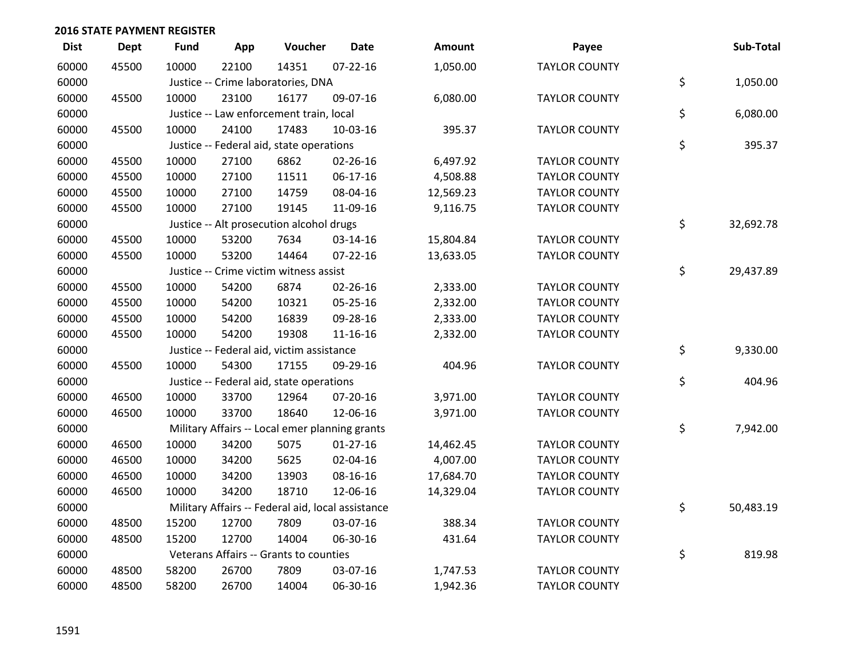| <b>Dist</b> | <b>Dept</b> | Fund  | App   | Voucher                                        | <b>Date</b>                                       | Amount    | Payee                | Sub-Total       |
|-------------|-------------|-------|-------|------------------------------------------------|---------------------------------------------------|-----------|----------------------|-----------------|
| 60000       | 45500       | 10000 | 22100 | 14351                                          | $07 - 22 - 16$                                    | 1,050.00  | <b>TAYLOR COUNTY</b> |                 |
| 60000       |             |       |       | Justice -- Crime laboratories, DNA             |                                                   |           |                      | \$<br>1,050.00  |
| 60000       | 45500       | 10000 | 23100 | 16177                                          | 09-07-16                                          | 6,080.00  | <b>TAYLOR COUNTY</b> |                 |
| 60000       |             |       |       | Justice -- Law enforcement train, local        |                                                   |           |                      | \$<br>6,080.00  |
| 60000       | 45500       | 10000 | 24100 | 17483                                          | 10-03-16                                          | 395.37    | <b>TAYLOR COUNTY</b> |                 |
| 60000       |             |       |       | Justice -- Federal aid, state operations       |                                                   |           |                      | \$<br>395.37    |
| 60000       | 45500       | 10000 | 27100 | 6862                                           | 02-26-16                                          | 6,497.92  | <b>TAYLOR COUNTY</b> |                 |
| 60000       | 45500       | 10000 | 27100 | 11511                                          | $06-17-16$                                        | 4,508.88  | <b>TAYLOR COUNTY</b> |                 |
| 60000       | 45500       | 10000 | 27100 | 14759                                          | 08-04-16                                          | 12,569.23 | <b>TAYLOR COUNTY</b> |                 |
| 60000       | 45500       | 10000 | 27100 | 19145                                          | 11-09-16                                          | 9,116.75  | <b>TAYLOR COUNTY</b> |                 |
| 60000       |             |       |       | Justice -- Alt prosecution alcohol drugs       |                                                   |           |                      | \$<br>32,692.78 |
| 60000       | 45500       | 10000 | 53200 | 7634                                           | 03-14-16                                          | 15,804.84 | <b>TAYLOR COUNTY</b> |                 |
| 60000       | 45500       | 10000 | 53200 | 14464                                          | 07-22-16                                          | 13,633.05 | <b>TAYLOR COUNTY</b> |                 |
| 60000       |             |       |       | Justice -- Crime victim witness assist         |                                                   |           |                      | \$<br>29,437.89 |
| 60000       | 45500       | 10000 | 54200 | 6874                                           | $02 - 26 - 16$                                    | 2,333.00  | <b>TAYLOR COUNTY</b> |                 |
| 60000       | 45500       | 10000 | 54200 | 10321                                          | 05-25-16                                          | 2,332.00  | <b>TAYLOR COUNTY</b> |                 |
| 60000       | 45500       | 10000 | 54200 | 16839                                          | 09-28-16                                          | 2,333.00  | <b>TAYLOR COUNTY</b> |                 |
| 60000       | 45500       | 10000 | 54200 | 19308                                          | 11-16-16                                          | 2,332.00  | <b>TAYLOR COUNTY</b> |                 |
| 60000       |             |       |       | Justice -- Federal aid, victim assistance      |                                                   |           |                      | \$<br>9,330.00  |
| 60000       | 45500       | 10000 | 54300 | 17155                                          | 09-29-16                                          | 404.96    | <b>TAYLOR COUNTY</b> |                 |
| 60000       |             |       |       | Justice -- Federal aid, state operations       |                                                   |           |                      | \$<br>404.96    |
| 60000       | 46500       | 10000 | 33700 | 12964                                          | 07-20-16                                          | 3,971.00  | <b>TAYLOR COUNTY</b> |                 |
| 60000       | 46500       | 10000 | 33700 | 18640                                          | 12-06-16                                          | 3,971.00  | <b>TAYLOR COUNTY</b> |                 |
| 60000       |             |       |       | Military Affairs -- Local emer planning grants |                                                   |           |                      | \$<br>7,942.00  |
| 60000       | 46500       | 10000 | 34200 | 5075                                           | $01 - 27 - 16$                                    | 14,462.45 | <b>TAYLOR COUNTY</b> |                 |
| 60000       | 46500       | 10000 | 34200 | 5625                                           | 02-04-16                                          | 4,007.00  | <b>TAYLOR COUNTY</b> |                 |
| 60000       | 46500       | 10000 | 34200 | 13903                                          | 08-16-16                                          | 17,684.70 | <b>TAYLOR COUNTY</b> |                 |
| 60000       | 46500       | 10000 | 34200 | 18710                                          | 12-06-16                                          | 14,329.04 | <b>TAYLOR COUNTY</b> |                 |
| 60000       |             |       |       |                                                | Military Affairs -- Federal aid, local assistance |           |                      | \$<br>50,483.19 |
| 60000       | 48500       | 15200 | 12700 | 7809                                           | 03-07-16                                          | 388.34    | <b>TAYLOR COUNTY</b> |                 |
| 60000       | 48500       | 15200 | 12700 | 14004                                          | 06-30-16                                          | 431.64    | <b>TAYLOR COUNTY</b> |                 |
| 60000       |             |       |       | Veterans Affairs -- Grants to counties         |                                                   |           |                      | \$<br>819.98    |
| 60000       | 48500       | 58200 | 26700 | 7809                                           | 03-07-16                                          | 1,747.53  | <b>TAYLOR COUNTY</b> |                 |
| 60000       | 48500       | 58200 | 26700 | 14004                                          | 06-30-16                                          | 1,942.36  | <b>TAYLOR COUNTY</b> |                 |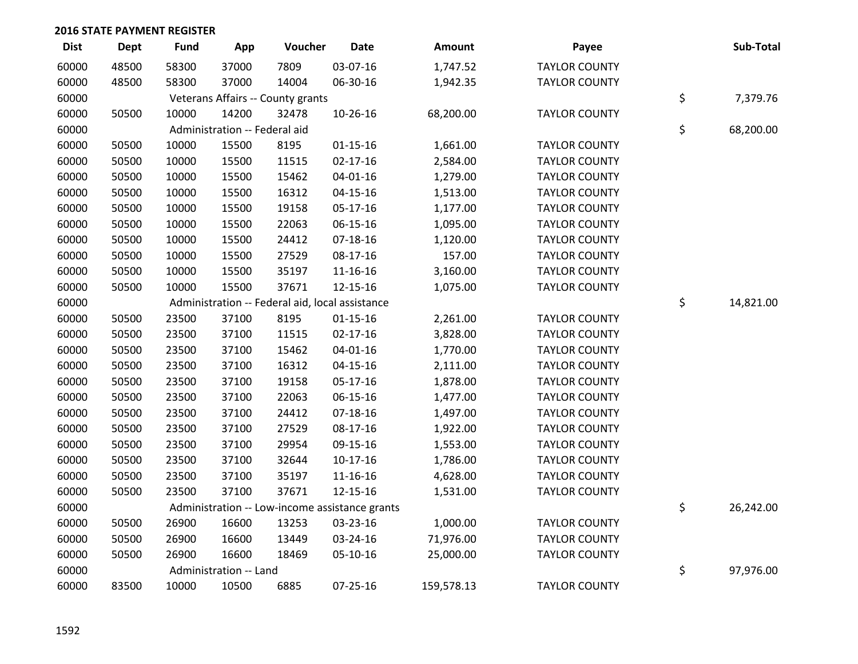| <b>Dist</b> | <b>Dept</b> | <b>Fund</b> | App                           | Voucher                                         | <b>Date</b>    | <b>Amount</b> | Payee                | Sub-Total       |
|-------------|-------------|-------------|-------------------------------|-------------------------------------------------|----------------|---------------|----------------------|-----------------|
| 60000       | 48500       | 58300       | 37000                         | 7809                                            | 03-07-16       | 1,747.52      | <b>TAYLOR COUNTY</b> |                 |
| 60000       | 48500       | 58300       | 37000                         | 14004                                           | 06-30-16       | 1,942.35      | <b>TAYLOR COUNTY</b> |                 |
| 60000       |             |             |                               | Veterans Affairs -- County grants               |                |               |                      | \$<br>7,379.76  |
| 60000       | 50500       | 10000       | 14200                         | 32478                                           | 10-26-16       | 68,200.00     | <b>TAYLOR COUNTY</b> |                 |
| 60000       |             |             | Administration -- Federal aid |                                                 |                |               |                      | \$<br>68,200.00 |
| 60000       | 50500       | 10000       | 15500                         | 8195                                            | $01 - 15 - 16$ | 1,661.00      | <b>TAYLOR COUNTY</b> |                 |
| 60000       | 50500       | 10000       | 15500                         | 11515                                           | $02 - 17 - 16$ | 2,584.00      | <b>TAYLOR COUNTY</b> |                 |
| 60000       | 50500       | 10000       | 15500                         | 15462                                           | 04-01-16       | 1,279.00      | <b>TAYLOR COUNTY</b> |                 |
| 60000       | 50500       | 10000       | 15500                         | 16312                                           | $04 - 15 - 16$ | 1,513.00      | <b>TAYLOR COUNTY</b> |                 |
| 60000       | 50500       | 10000       | 15500                         | 19158                                           | 05-17-16       | 1,177.00      | <b>TAYLOR COUNTY</b> |                 |
| 60000       | 50500       | 10000       | 15500                         | 22063                                           | 06-15-16       | 1,095.00      | <b>TAYLOR COUNTY</b> |                 |
| 60000       | 50500       | 10000       | 15500                         | 24412                                           | $07 - 18 - 16$ | 1,120.00      | <b>TAYLOR COUNTY</b> |                 |
| 60000       | 50500       | 10000       | 15500                         | 27529                                           | 08-17-16       | 157.00        | <b>TAYLOR COUNTY</b> |                 |
| 60000       | 50500       | 10000       | 15500                         | 35197                                           | 11-16-16       | 3,160.00      | <b>TAYLOR COUNTY</b> |                 |
| 60000       | 50500       | 10000       | 15500                         | 37671                                           | 12-15-16       | 1,075.00      | <b>TAYLOR COUNTY</b> |                 |
| 60000       |             |             |                               | Administration -- Federal aid, local assistance |                |               |                      | \$<br>14,821.00 |
| 60000       | 50500       | 23500       | 37100                         | 8195                                            | $01 - 15 - 16$ | 2,261.00      | <b>TAYLOR COUNTY</b> |                 |
| 60000       | 50500       | 23500       | 37100                         | 11515                                           | $02 - 17 - 16$ | 3,828.00      | <b>TAYLOR COUNTY</b> |                 |
| 60000       | 50500       | 23500       | 37100                         | 15462                                           | $04 - 01 - 16$ | 1,770.00      | <b>TAYLOR COUNTY</b> |                 |
| 60000       | 50500       | 23500       | 37100                         | 16312                                           | $04 - 15 - 16$ | 2,111.00      | <b>TAYLOR COUNTY</b> |                 |
| 60000       | 50500       | 23500       | 37100                         | 19158                                           | $05-17-16$     | 1,878.00      | <b>TAYLOR COUNTY</b> |                 |
| 60000       | 50500       | 23500       | 37100                         | 22063                                           | $06 - 15 - 16$ | 1,477.00      | <b>TAYLOR COUNTY</b> |                 |
| 60000       | 50500       | 23500       | 37100                         | 24412                                           | $07 - 18 - 16$ | 1,497.00      | <b>TAYLOR COUNTY</b> |                 |
| 60000       | 50500       | 23500       | 37100                         | 27529                                           | 08-17-16       | 1,922.00      | <b>TAYLOR COUNTY</b> |                 |
| 60000       | 50500       | 23500       | 37100                         | 29954                                           | 09-15-16       | 1,553.00      | <b>TAYLOR COUNTY</b> |                 |
| 60000       | 50500       | 23500       | 37100                         | 32644                                           | $10-17-16$     | 1,786.00      | <b>TAYLOR COUNTY</b> |                 |
| 60000       | 50500       | 23500       | 37100                         | 35197                                           | 11-16-16       | 4,628.00      | <b>TAYLOR COUNTY</b> |                 |
| 60000       | 50500       | 23500       | 37100                         | 37671                                           | 12-15-16       | 1,531.00      | <b>TAYLOR COUNTY</b> |                 |
| 60000       |             |             |                               | Administration -- Low-income assistance grants  |                |               |                      | \$<br>26,242.00 |
| 60000       | 50500       | 26900       | 16600                         | 13253                                           | 03-23-16       | 1,000.00      | <b>TAYLOR COUNTY</b> |                 |
| 60000       | 50500       | 26900       | 16600                         | 13449                                           | 03-24-16       | 71,976.00     | <b>TAYLOR COUNTY</b> |                 |
| 60000       | 50500       | 26900       | 16600                         | 18469                                           | 05-10-16       | 25,000.00     | <b>TAYLOR COUNTY</b> |                 |
| 60000       |             |             | Administration -- Land        |                                                 |                |               |                      | \$<br>97,976.00 |
| 60000       | 83500       | 10000       | 10500                         | 6885                                            | 07-25-16       | 159,578.13    | <b>TAYLOR COUNTY</b> |                 |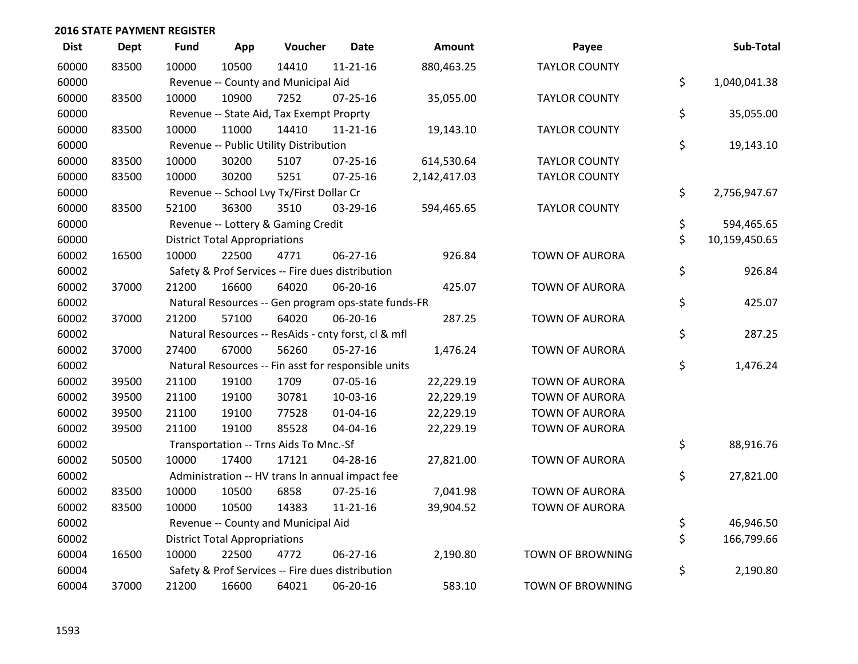| <b>Dist</b> | <b>Dept</b> | <b>Fund</b> | App                                  | Voucher                                             | <b>Date</b>    | Amount       | Payee                   | Sub-Total           |
|-------------|-------------|-------------|--------------------------------------|-----------------------------------------------------|----------------|--------------|-------------------------|---------------------|
| 60000       | 83500       | 10000       | 10500                                | 14410                                               | $11 - 21 - 16$ | 880,463.25   | <b>TAYLOR COUNTY</b>    |                     |
| 60000       |             |             |                                      | Revenue -- County and Municipal Aid                 |                |              |                         | \$<br>1,040,041.38  |
| 60000       | 83500       | 10000       | 10900                                | 7252                                                | 07-25-16       | 35,055.00    | <b>TAYLOR COUNTY</b>    |                     |
| 60000       |             |             |                                      | Revenue -- State Aid, Tax Exempt Proprty            |                |              |                         | \$<br>35,055.00     |
| 60000       | 83500       | 10000       | 11000                                | 14410                                               | $11 - 21 - 16$ | 19,143.10    | <b>TAYLOR COUNTY</b>    |                     |
| 60000       |             |             |                                      | Revenue -- Public Utility Distribution              |                |              |                         | \$<br>19,143.10     |
| 60000       | 83500       | 10000       | 30200                                | 5107                                                | $07 - 25 - 16$ | 614,530.64   | <b>TAYLOR COUNTY</b>    |                     |
| 60000       | 83500       | 10000       | 30200                                | 5251                                                | $07 - 25 - 16$ | 2,142,417.03 | <b>TAYLOR COUNTY</b>    |                     |
| 60000       |             |             |                                      | Revenue -- School Lvy Tx/First Dollar Cr            |                |              |                         | \$<br>2,756,947.67  |
| 60000       | 83500       | 52100       | 36300                                | 3510                                                | 03-29-16       | 594,465.65   | <b>TAYLOR COUNTY</b>    |                     |
| 60000       |             |             |                                      | Revenue -- Lottery & Gaming Credit                  |                |              |                         | \$<br>594,465.65    |
| 60000       |             |             | <b>District Total Appropriations</b> |                                                     |                |              |                         | \$<br>10,159,450.65 |
| 60002       | 16500       | 10000       | 22500                                | 4771                                                | 06-27-16       | 926.84       | <b>TOWN OF AURORA</b>   |                     |
| 60002       |             |             |                                      | Safety & Prof Services -- Fire dues distribution    |                |              |                         | \$<br>926.84        |
| 60002       | 37000       | 21200       | 16600                                | 64020                                               | 06-20-16       | 425.07       | <b>TOWN OF AURORA</b>   |                     |
| 60002       |             |             |                                      | Natural Resources -- Gen program ops-state funds-FR |                |              |                         | \$<br>425.07        |
| 60002       | 37000       | 21200       | 57100                                | 64020                                               | 06-20-16       | 287.25       | <b>TOWN OF AURORA</b>   |                     |
| 60002       |             |             |                                      | Natural Resources -- ResAids - cnty forst, cl & mfl |                |              |                         | \$<br>287.25        |
| 60002       | 37000       | 27400       | 67000                                | 56260                                               | $05 - 27 - 16$ | 1,476.24     | <b>TOWN OF AURORA</b>   |                     |
| 60002       |             |             |                                      | Natural Resources -- Fin asst for responsible units |                |              |                         | \$<br>1,476.24      |
| 60002       | 39500       | 21100       | 19100                                | 1709                                                | 07-05-16       | 22,229.19    | <b>TOWN OF AURORA</b>   |                     |
| 60002       | 39500       | 21100       | 19100                                | 30781                                               | 10-03-16       | 22,229.19    | <b>TOWN OF AURORA</b>   |                     |
| 60002       | 39500       | 21100       | 19100                                | 77528                                               | $01 - 04 - 16$ | 22,229.19    | <b>TOWN OF AURORA</b>   |                     |
| 60002       | 39500       | 21100       | 19100                                | 85528                                               | 04-04-16       | 22,229.19    | <b>TOWN OF AURORA</b>   |                     |
| 60002       |             |             |                                      | Transportation -- Trns Aids To Mnc.-Sf              |                |              |                         | \$<br>88,916.76     |
| 60002       | 50500       | 10000       | 17400                                | 17121                                               | 04-28-16       | 27,821.00    | <b>TOWN OF AURORA</b>   |                     |
| 60002       |             |             |                                      | Administration -- HV trans In annual impact fee     |                |              |                         | \$<br>27,821.00     |
| 60002       | 83500       | 10000       | 10500                                | 6858                                                | $07 - 25 - 16$ | 7,041.98     | <b>TOWN OF AURORA</b>   |                     |
| 60002       | 83500       | 10000       | 10500                                | 14383                                               | $11 - 21 - 16$ | 39,904.52    | <b>TOWN OF AURORA</b>   |                     |
| 60002       |             |             |                                      | Revenue -- County and Municipal Aid                 |                |              |                         | \$<br>46,946.50     |
| 60002       |             |             | <b>District Total Appropriations</b> |                                                     |                |              |                         | \$<br>166,799.66    |
| 60004       | 16500       | 10000       | 22500                                | 4772                                                | 06-27-16       | 2,190.80     | TOWN OF BROWNING        |                     |
| 60004       |             |             |                                      | Safety & Prof Services -- Fire dues distribution    |                |              |                         | \$<br>2,190.80      |
| 60004       | 37000       | 21200       | 16600                                | 64021                                               | 06-20-16       | 583.10       | <b>TOWN OF BROWNING</b> |                     |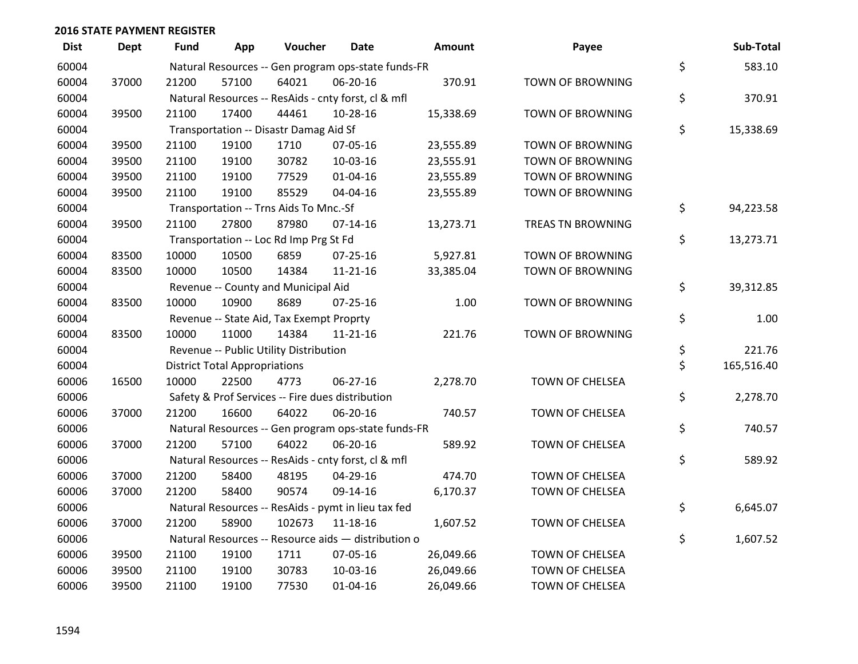| <b>Dist</b> | <b>Dept</b> | Fund  | App                                  | Voucher                                             | Date           | <b>Amount</b> | Payee                   | Sub-Total        |
|-------------|-------------|-------|--------------------------------------|-----------------------------------------------------|----------------|---------------|-------------------------|------------------|
| 60004       |             |       |                                      | Natural Resources -- Gen program ops-state funds-FR |                |               |                         | \$<br>583.10     |
| 60004       | 37000       | 21200 | 57100                                | 64021                                               | 06-20-16       | 370.91        | TOWN OF BROWNING        |                  |
| 60004       |             |       |                                      | Natural Resources -- ResAids - cnty forst, cl & mfl |                |               |                         | \$<br>370.91     |
| 60004       | 39500       | 21100 | 17400                                | 44461                                               | 10-28-16       | 15,338.69     | TOWN OF BROWNING        |                  |
| 60004       |             |       |                                      | Transportation -- Disastr Damag Aid Sf              |                |               |                         | \$<br>15,338.69  |
| 60004       | 39500       | 21100 | 19100                                | 1710                                                | 07-05-16       | 23,555.89     | <b>TOWN OF BROWNING</b> |                  |
| 60004       | 39500       | 21100 | 19100                                | 30782                                               | 10-03-16       | 23,555.91     | TOWN OF BROWNING        |                  |
| 60004       | 39500       | 21100 | 19100                                | 77529                                               | $01 - 04 - 16$ | 23,555.89     | <b>TOWN OF BROWNING</b> |                  |
| 60004       | 39500       | 21100 | 19100                                | 85529                                               | 04-04-16       | 23,555.89     | TOWN OF BROWNING        |                  |
| 60004       |             |       |                                      | Transportation -- Trns Aids To Mnc.-Sf              |                |               |                         | \$<br>94,223.58  |
| 60004       | 39500       | 21100 | 27800                                | 87980                                               | $07-14-16$     | 13,273.71     | TREAS TN BROWNING       |                  |
| 60004       |             |       |                                      | Transportation -- Loc Rd Imp Prg St Fd              |                |               |                         | \$<br>13,273.71  |
| 60004       | 83500       | 10000 | 10500                                | 6859                                                | $07 - 25 - 16$ | 5,927.81      | <b>TOWN OF BROWNING</b> |                  |
| 60004       | 83500       | 10000 | 10500                                | 14384                                               | $11 - 21 - 16$ | 33,385.04     | TOWN OF BROWNING        |                  |
| 60004       |             |       |                                      | Revenue -- County and Municipal Aid                 |                |               |                         | \$<br>39,312.85  |
| 60004       | 83500       | 10000 | 10900                                | 8689                                                | $07 - 25 - 16$ | 1.00          | <b>TOWN OF BROWNING</b> |                  |
| 60004       |             |       |                                      | Revenue -- State Aid, Tax Exempt Proprty            |                |               |                         | \$<br>1.00       |
| 60004       | 83500       | 10000 | 11000                                | 14384                                               | $11 - 21 - 16$ | 221.76        | <b>TOWN OF BROWNING</b> |                  |
| 60004       |             |       |                                      | Revenue -- Public Utility Distribution              |                |               |                         | \$<br>221.76     |
| 60004       |             |       | <b>District Total Appropriations</b> |                                                     |                |               |                         | \$<br>165,516.40 |
| 60006       | 16500       | 10000 | 22500                                | 4773                                                | 06-27-16       | 2,278.70      | TOWN OF CHELSEA         |                  |
| 60006       |             |       |                                      | Safety & Prof Services -- Fire dues distribution    |                |               |                         | \$<br>2,278.70   |
| 60006       | 37000       | 21200 | 16600                                | 64022                                               | 06-20-16       | 740.57        | TOWN OF CHELSEA         |                  |
| 60006       |             |       |                                      | Natural Resources -- Gen program ops-state funds-FR |                |               |                         | \$<br>740.57     |
| 60006       | 37000       | 21200 | 57100                                | 64022                                               | 06-20-16       | 589.92        | TOWN OF CHELSEA         |                  |
| 60006       |             |       |                                      | Natural Resources -- ResAids - cnty forst, cl & mfl |                |               |                         | \$<br>589.92     |
| 60006       | 37000       | 21200 | 58400                                | 48195                                               | 04-29-16       | 474.70        | TOWN OF CHELSEA         |                  |
| 60006       | 37000       | 21200 | 58400                                | 90574                                               | 09-14-16       | 6,170.37      | TOWN OF CHELSEA         |                  |
| 60006       |             |       |                                      | Natural Resources -- ResAids - pymt in lieu tax fed |                |               |                         | \$<br>6,645.07   |
| 60006       | 37000       | 21200 | 58900                                | 102673                                              | $11 - 18 - 16$ | 1,607.52      | TOWN OF CHELSEA         |                  |
| 60006       |             |       |                                      | Natural Resources -- Resource aids - distribution o |                |               |                         | \$<br>1,607.52   |
| 60006       | 39500       | 21100 | 19100                                | 1711                                                | 07-05-16       | 26,049.66     | <b>TOWN OF CHELSEA</b>  |                  |
| 60006       | 39500       | 21100 | 19100                                | 30783                                               | 10-03-16       | 26,049.66     | TOWN OF CHELSEA         |                  |
| 60006       | 39500       | 21100 | 19100                                | 77530                                               | $01 - 04 - 16$ | 26,049.66     | <b>TOWN OF CHELSEA</b>  |                  |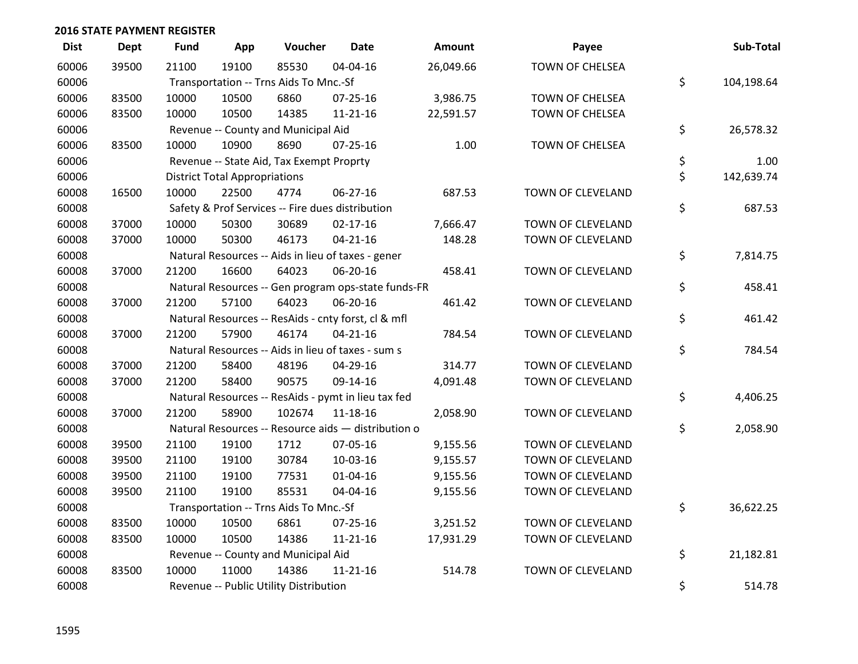| <b>Dist</b> | <b>Dept</b> | <b>Fund</b> | App                                  | Voucher                                             | <b>Date</b>    | Amount    | Payee                  | Sub-Total        |
|-------------|-------------|-------------|--------------------------------------|-----------------------------------------------------|----------------|-----------|------------------------|------------------|
| 60006       | 39500       | 21100       | 19100                                | 85530                                               | 04-04-16       | 26,049.66 | <b>TOWN OF CHELSEA</b> |                  |
| 60006       |             |             |                                      | Transportation -- Trns Aids To Mnc.-Sf              |                |           |                        | \$<br>104,198.64 |
| 60006       | 83500       | 10000       | 10500                                | 6860                                                | $07 - 25 - 16$ | 3,986.75  | <b>TOWN OF CHELSEA</b> |                  |
| 60006       | 83500       | 10000       | 10500                                | 14385                                               | $11 - 21 - 16$ | 22,591.57 | <b>TOWN OF CHELSEA</b> |                  |
| 60006       |             |             |                                      | Revenue -- County and Municipal Aid                 |                |           |                        | \$<br>26,578.32  |
| 60006       | 83500       | 10000       | 10900                                | 8690                                                | $07 - 25 - 16$ | 1.00      | <b>TOWN OF CHELSEA</b> |                  |
| 60006       |             |             |                                      | Revenue -- State Aid, Tax Exempt Proprty            |                |           |                        | \$<br>1.00       |
| 60006       |             |             | <b>District Total Appropriations</b> |                                                     |                |           |                        | \$<br>142,639.74 |
| 60008       | 16500       | 10000       | 22500                                | 4774                                                | 06-27-16       | 687.53    | TOWN OF CLEVELAND      |                  |
| 60008       |             |             |                                      | Safety & Prof Services -- Fire dues distribution    |                |           |                        | \$<br>687.53     |
| 60008       | 37000       | 10000       | 50300                                | 30689                                               | $02 - 17 - 16$ | 7,666.47  | TOWN OF CLEVELAND      |                  |
| 60008       | 37000       | 10000       | 50300                                | 46173                                               | $04 - 21 - 16$ | 148.28    | TOWN OF CLEVELAND      |                  |
| 60008       |             |             |                                      | Natural Resources -- Aids in lieu of taxes - gener  |                |           |                        | \$<br>7,814.75   |
| 60008       | 37000       | 21200       | 16600                                | 64023                                               | 06-20-16       | 458.41    | TOWN OF CLEVELAND      |                  |
| 60008       |             |             |                                      | Natural Resources -- Gen program ops-state funds-FR |                |           |                        | \$<br>458.41     |
| 60008       | 37000       | 21200       | 57100                                | 64023                                               | 06-20-16       | 461.42    | TOWN OF CLEVELAND      |                  |
| 60008       |             |             |                                      | Natural Resources -- ResAids - cnty forst, cl & mfl |                |           |                        | \$<br>461.42     |
| 60008       | 37000       | 21200       | 57900                                | 46174                                               | $04 - 21 - 16$ | 784.54    | TOWN OF CLEVELAND      |                  |
| 60008       |             |             |                                      | Natural Resources -- Aids in lieu of taxes - sum s  |                |           |                        | \$<br>784.54     |
| 60008       | 37000       | 21200       | 58400                                | 48196                                               | 04-29-16       | 314.77    | TOWN OF CLEVELAND      |                  |
| 60008       | 37000       | 21200       | 58400                                | 90575                                               | 09-14-16       | 4,091.48  | TOWN OF CLEVELAND      |                  |
| 60008       |             |             |                                      | Natural Resources -- ResAids - pymt in lieu tax fed |                |           |                        | \$<br>4,406.25   |
| 60008       | 37000       | 21200       | 58900                                | 102674                                              | 11-18-16       | 2,058.90  | TOWN OF CLEVELAND      |                  |
| 60008       |             |             |                                      | Natural Resources -- Resource aids - distribution o |                |           |                        | \$<br>2,058.90   |
| 60008       | 39500       | 21100       | 19100                                | 1712                                                | 07-05-16       | 9,155.56  | TOWN OF CLEVELAND      |                  |
| 60008       | 39500       | 21100       | 19100                                | 30784                                               | 10-03-16       | 9,155.57  | TOWN OF CLEVELAND      |                  |
| 60008       | 39500       | 21100       | 19100                                | 77531                                               | 01-04-16       | 9,155.56  | TOWN OF CLEVELAND      |                  |
| 60008       | 39500       | 21100       | 19100                                | 85531                                               | 04-04-16       | 9,155.56  | TOWN OF CLEVELAND      |                  |
| 60008       |             |             |                                      | Transportation -- Trns Aids To Mnc.-Sf              |                |           |                        | \$<br>36,622.25  |
| 60008       | 83500       | 10000       | 10500                                | 6861                                                | $07 - 25 - 16$ | 3,251.52  | TOWN OF CLEVELAND      |                  |
| 60008       | 83500       | 10000       | 10500                                | 14386                                               | $11 - 21 - 16$ | 17,931.29 | TOWN OF CLEVELAND      |                  |
| 60008       |             |             |                                      | Revenue -- County and Municipal Aid                 |                |           |                        | \$<br>21,182.81  |
| 60008       | 83500       | 10000       | 11000                                | 14386                                               | $11 - 21 - 16$ | 514.78    | TOWN OF CLEVELAND      |                  |
| 60008       |             |             |                                      | Revenue -- Public Utility Distribution              |                |           |                        | \$<br>514.78     |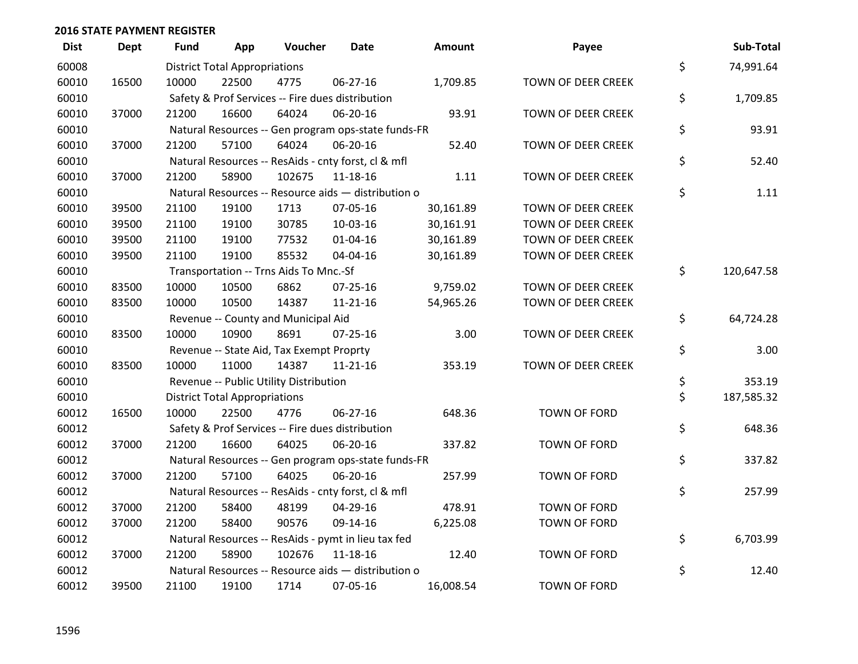| <b>Dist</b> | <b>Dept</b> | <b>Fund</b> | App                                  | Voucher                                             | Date           | <b>Amount</b> | Payee                     | Sub-Total        |
|-------------|-------------|-------------|--------------------------------------|-----------------------------------------------------|----------------|---------------|---------------------------|------------------|
| 60008       |             |             | <b>District Total Appropriations</b> |                                                     |                |               |                           | \$<br>74,991.64  |
| 60010       | 16500       | 10000       | 22500                                | 4775                                                | 06-27-16       | 1,709.85      | TOWN OF DEER CREEK        |                  |
| 60010       |             |             |                                      | Safety & Prof Services -- Fire dues distribution    |                |               |                           | \$<br>1,709.85   |
| 60010       | 37000       | 21200       | 16600                                | 64024                                               | 06-20-16       | 93.91         | TOWN OF DEER CREEK        |                  |
| 60010       |             |             |                                      | Natural Resources -- Gen program ops-state funds-FR |                |               |                           | \$<br>93.91      |
| 60010       | 37000       | 21200       | 57100                                | 64024                                               | 06-20-16       | 52.40         | TOWN OF DEER CREEK        |                  |
| 60010       |             |             |                                      | Natural Resources -- ResAids - cnty forst, cl & mfl |                |               |                           | \$<br>52.40      |
| 60010       | 37000       | 21200       | 58900                                | 102675                                              | 11-18-16       | 1.11          | <b>TOWN OF DEER CREEK</b> |                  |
| 60010       |             |             |                                      | Natural Resources -- Resource aids - distribution o |                |               |                           | \$<br>1.11       |
| 60010       | 39500       | 21100       | 19100                                | 1713                                                | 07-05-16       | 30,161.89     | TOWN OF DEER CREEK        |                  |
| 60010       | 39500       | 21100       | 19100                                | 30785                                               | 10-03-16       | 30,161.91     | TOWN OF DEER CREEK        |                  |
| 60010       | 39500       | 21100       | 19100                                | 77532                                               | $01 - 04 - 16$ | 30,161.89     | <b>TOWN OF DEER CREEK</b> |                  |
| 60010       | 39500       | 21100       | 19100                                | 85532                                               | 04-04-16       | 30,161.89     | TOWN OF DEER CREEK        |                  |
| 60010       |             |             |                                      | Transportation -- Trns Aids To Mnc.-Sf              |                |               |                           | \$<br>120,647.58 |
| 60010       | 83500       | 10000       | 10500                                | 6862                                                | $07 - 25 - 16$ | 9,759.02      | TOWN OF DEER CREEK        |                  |
| 60010       | 83500       | 10000       | 10500                                | 14387                                               | $11 - 21 - 16$ | 54,965.26     | TOWN OF DEER CREEK        |                  |
| 60010       |             |             |                                      | Revenue -- County and Municipal Aid                 |                |               |                           | \$<br>64,724.28  |
| 60010       | 83500       | 10000       | 10900                                | 8691                                                | 07-25-16       | 3.00          | TOWN OF DEER CREEK        |                  |
| 60010       |             |             |                                      | Revenue -- State Aid, Tax Exempt Proprty            |                |               |                           | \$<br>3.00       |
| 60010       | 83500       | 10000       | 11000                                | 14387                                               | $11 - 21 - 16$ | 353.19        | TOWN OF DEER CREEK        |                  |
| 60010       |             |             |                                      | Revenue -- Public Utility Distribution              |                |               |                           | \$<br>353.19     |
| 60010       |             |             | <b>District Total Appropriations</b> |                                                     |                |               |                           | \$<br>187,585.32 |
| 60012       | 16500       | 10000       | 22500                                | 4776                                                | 06-27-16       | 648.36        | TOWN OF FORD              |                  |
| 60012       |             |             |                                      | Safety & Prof Services -- Fire dues distribution    |                |               |                           | \$<br>648.36     |
| 60012       | 37000       | 21200       | 16600                                | 64025                                               | 06-20-16       | 337.82        | <b>TOWN OF FORD</b>       |                  |
| 60012       |             |             |                                      | Natural Resources -- Gen program ops-state funds-FR |                |               |                           | \$<br>337.82     |
| 60012       | 37000       | 21200       | 57100                                | 64025                                               | 06-20-16       | 257.99        | TOWN OF FORD              |                  |
| 60012       |             |             |                                      | Natural Resources -- ResAids - cnty forst, cl & mfl |                |               |                           | \$<br>257.99     |
| 60012       | 37000       | 21200       | 58400                                | 48199                                               | 04-29-16       | 478.91        | <b>TOWN OF FORD</b>       |                  |
| 60012       | 37000       | 21200       | 58400                                | 90576                                               | 09-14-16       | 6,225.08      | TOWN OF FORD              |                  |
| 60012       |             |             |                                      | Natural Resources -- ResAids - pymt in lieu tax fed |                |               |                           | \$<br>6,703.99   |
| 60012       | 37000       | 21200       | 58900                                | 102676                                              | 11-18-16       | 12.40         | <b>TOWN OF FORD</b>       |                  |
| 60012       |             |             |                                      | Natural Resources -- Resource aids - distribution o |                |               |                           | \$<br>12.40      |
| 60012       | 39500       | 21100       | 19100                                | 1714                                                | 07-05-16       | 16,008.54     | <b>TOWN OF FORD</b>       |                  |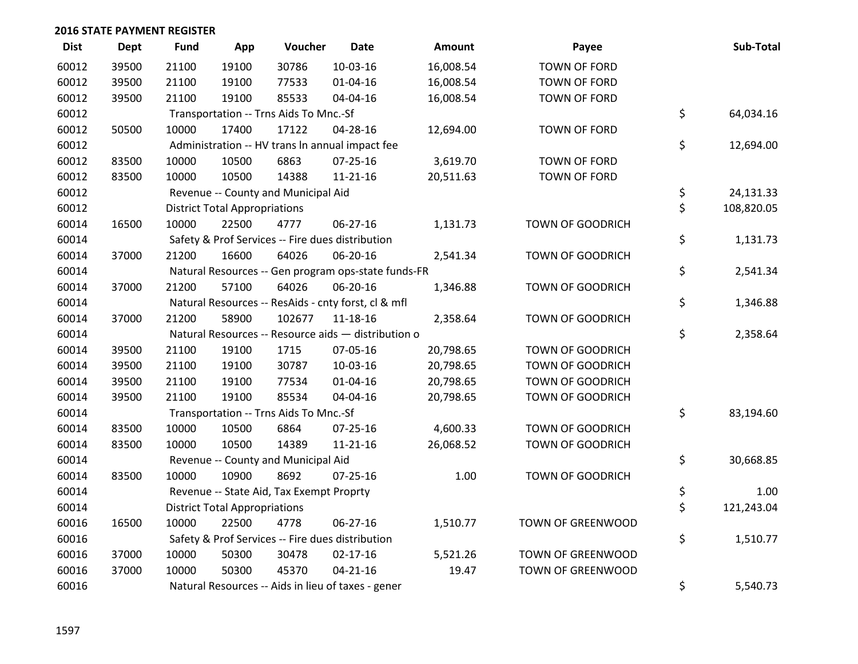| <b>Dist</b> | <b>Dept</b> | <b>Fund</b> | App                                  | Voucher                                  | <b>Date</b>                                         | <b>Amount</b> | Payee                    | Sub-Total        |
|-------------|-------------|-------------|--------------------------------------|------------------------------------------|-----------------------------------------------------|---------------|--------------------------|------------------|
| 60012       | 39500       | 21100       | 19100                                | 30786                                    | 10-03-16                                            | 16,008.54     | TOWN OF FORD             |                  |
| 60012       | 39500       | 21100       | 19100                                | 77533                                    | $01 - 04 - 16$                                      | 16,008.54     | TOWN OF FORD             |                  |
| 60012       | 39500       | 21100       | 19100                                | 85533                                    | 04-04-16                                            | 16,008.54     | <b>TOWN OF FORD</b>      |                  |
| 60012       |             |             |                                      | Transportation -- Trns Aids To Mnc.-Sf   |                                                     |               |                          | \$<br>64,034.16  |
| 60012       | 50500       | 10000       | 17400                                | 17122                                    | 04-28-16                                            | 12,694.00     | TOWN OF FORD             |                  |
| 60012       |             |             |                                      |                                          | Administration -- HV trans In annual impact fee     |               |                          | \$<br>12,694.00  |
| 60012       | 83500       | 10000       | 10500                                | 6863                                     | $07 - 25 - 16$                                      | 3,619.70      | TOWN OF FORD             |                  |
| 60012       | 83500       | 10000       | 10500                                | 14388                                    | $11 - 21 - 16$                                      | 20,511.63     | TOWN OF FORD             |                  |
| 60012       |             |             |                                      | Revenue -- County and Municipal Aid      |                                                     |               |                          | \$<br>24,131.33  |
| 60012       |             |             | <b>District Total Appropriations</b> |                                          |                                                     |               |                          | \$<br>108,820.05 |
| 60014       | 16500       | 10000       | 22500                                | 4777                                     | 06-27-16                                            | 1,131.73      | TOWN OF GOODRICH         |                  |
| 60014       |             |             |                                      |                                          | Safety & Prof Services -- Fire dues distribution    |               |                          | \$<br>1,131.73   |
| 60014       | 37000       | 21200       | 16600                                | 64026                                    | 06-20-16                                            | 2,541.34      | TOWN OF GOODRICH         |                  |
| 60014       |             |             |                                      |                                          | Natural Resources -- Gen program ops-state funds-FR |               |                          | \$<br>2,541.34   |
| 60014       | 37000       | 21200       | 57100                                | 64026                                    | 06-20-16                                            | 1,346.88      | TOWN OF GOODRICH         |                  |
| 60014       |             |             |                                      |                                          | Natural Resources -- ResAids - cnty forst, cl & mfl |               |                          | \$<br>1,346.88   |
| 60014       | 37000       | 21200       | 58900                                | 102677                                   | 11-18-16                                            | 2,358.64      | <b>TOWN OF GOODRICH</b>  |                  |
| 60014       |             |             |                                      |                                          | Natural Resources -- Resource aids - distribution o |               |                          | \$<br>2,358.64   |
| 60014       | 39500       | 21100       | 19100                                | 1715                                     | 07-05-16                                            | 20,798.65     | TOWN OF GOODRICH         |                  |
| 60014       | 39500       | 21100       | 19100                                | 30787                                    | 10-03-16                                            | 20,798.65     | TOWN OF GOODRICH         |                  |
| 60014       | 39500       | 21100       | 19100                                | 77534                                    | 01-04-16                                            | 20,798.65     | TOWN OF GOODRICH         |                  |
| 60014       | 39500       | 21100       | 19100                                | 85534                                    | 04-04-16                                            | 20,798.65     | TOWN OF GOODRICH         |                  |
| 60014       |             |             |                                      | Transportation -- Trns Aids To Mnc.-Sf   |                                                     |               |                          | \$<br>83,194.60  |
| 60014       | 83500       | 10000       | 10500                                | 6864                                     | $07 - 25 - 16$                                      | 4,600.33      | <b>TOWN OF GOODRICH</b>  |                  |
| 60014       | 83500       | 10000       | 10500                                | 14389                                    | $11 - 21 - 16$                                      | 26,068.52     | TOWN OF GOODRICH         |                  |
| 60014       |             |             |                                      | Revenue -- County and Municipal Aid      |                                                     |               |                          | \$<br>30,668.85  |
| 60014       | 83500       | 10000       | 10900                                | 8692                                     | $07 - 25 - 16$                                      | 1.00          | TOWN OF GOODRICH         |                  |
| 60014       |             |             |                                      | Revenue -- State Aid, Tax Exempt Proprty |                                                     |               |                          | \$<br>1.00       |
| 60014       |             |             | <b>District Total Appropriations</b> |                                          |                                                     |               |                          | \$<br>121,243.04 |
| 60016       | 16500       | 10000       | 22500                                | 4778                                     | 06-27-16                                            | 1,510.77      | <b>TOWN OF GREENWOOD</b> |                  |
| 60016       |             |             |                                      |                                          | Safety & Prof Services -- Fire dues distribution    |               |                          | \$<br>1,510.77   |
| 60016       | 37000       | 10000       | 50300                                | 30478                                    | $02 - 17 - 16$                                      | 5,521.26      | TOWN OF GREENWOOD        |                  |
| 60016       | 37000       | 10000       | 50300                                | 45370                                    | $04 - 21 - 16$                                      | 19.47         | TOWN OF GREENWOOD        |                  |
| 60016       |             |             |                                      |                                          | Natural Resources -- Aids in lieu of taxes - gener  |               |                          | \$<br>5,540.73   |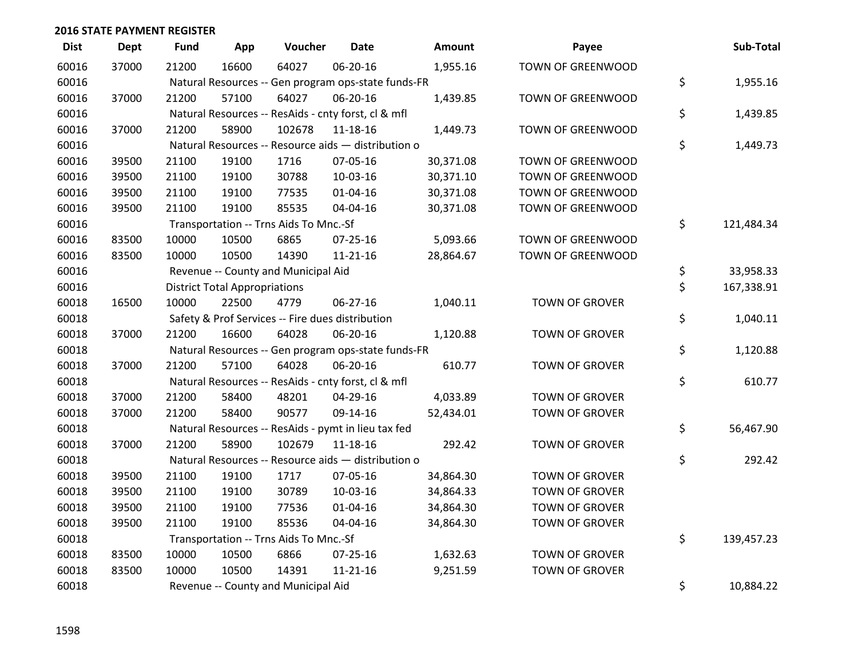| <b>Dist</b> | <b>Dept</b> | <b>Fund</b> | App                                  | Voucher                                             | <b>Date</b>    | Amount    | Payee                    | Sub-Total        |
|-------------|-------------|-------------|--------------------------------------|-----------------------------------------------------|----------------|-----------|--------------------------|------------------|
| 60016       | 37000       | 21200       | 16600                                | 64027                                               | 06-20-16       | 1,955.16  | <b>TOWN OF GREENWOOD</b> |                  |
| 60016       |             |             |                                      | Natural Resources -- Gen program ops-state funds-FR |                |           |                          | \$<br>1,955.16   |
| 60016       | 37000       | 21200       | 57100                                | 64027                                               | 06-20-16       | 1,439.85  | <b>TOWN OF GREENWOOD</b> |                  |
| 60016       |             |             |                                      | Natural Resources -- ResAids - cnty forst, cl & mfl |                |           |                          | \$<br>1,439.85   |
| 60016       | 37000       | 21200       | 58900                                | 102678                                              | $11 - 18 - 16$ | 1,449.73  | TOWN OF GREENWOOD        |                  |
| 60016       |             |             |                                      | Natural Resources -- Resource aids - distribution o |                |           |                          | \$<br>1,449.73   |
| 60016       | 39500       | 21100       | 19100                                | 1716                                                | 07-05-16       | 30,371.08 | TOWN OF GREENWOOD        |                  |
| 60016       | 39500       | 21100       | 19100                                | 30788                                               | $10-03-16$     | 30,371.10 | TOWN OF GREENWOOD        |                  |
| 60016       | 39500       | 21100       | 19100                                | 77535                                               | $01 - 04 - 16$ | 30,371.08 | TOWN OF GREENWOOD        |                  |
| 60016       | 39500       | 21100       | 19100                                | 85535                                               | 04-04-16       | 30,371.08 | TOWN OF GREENWOOD        |                  |
| 60016       |             |             |                                      | Transportation -- Trns Aids To Mnc.-Sf              |                |           |                          | \$<br>121,484.34 |
| 60016       | 83500       | 10000       | 10500                                | 6865                                                | $07 - 25 - 16$ | 5,093.66  | <b>TOWN OF GREENWOOD</b> |                  |
| 60016       | 83500       | 10000       | 10500                                | 14390                                               | $11 - 21 - 16$ | 28,864.67 | TOWN OF GREENWOOD        |                  |
| 60016       |             |             |                                      | Revenue -- County and Municipal Aid                 |                |           |                          | \$<br>33,958.33  |
| 60016       |             |             | <b>District Total Appropriations</b> |                                                     |                |           |                          | \$<br>167,338.91 |
| 60018       | 16500       | 10000       | 22500                                | 4779                                                | 06-27-16       | 1,040.11  | <b>TOWN OF GROVER</b>    |                  |
| 60018       |             |             |                                      | Safety & Prof Services -- Fire dues distribution    |                |           |                          | \$<br>1,040.11   |
| 60018       | 37000       | 21200       | 16600                                | 64028                                               | 06-20-16       | 1,120.88  | <b>TOWN OF GROVER</b>    |                  |
| 60018       |             |             |                                      | Natural Resources -- Gen program ops-state funds-FR |                |           |                          | \$<br>1,120.88   |
| 60018       | 37000       | 21200       | 57100                                | 64028                                               | 06-20-16       | 610.77    | <b>TOWN OF GROVER</b>    |                  |
| 60018       |             |             |                                      | Natural Resources -- ResAids - cnty forst, cl & mfl |                |           |                          | \$<br>610.77     |
| 60018       | 37000       | 21200       | 58400                                | 48201                                               | 04-29-16       | 4,033.89  | <b>TOWN OF GROVER</b>    |                  |
| 60018       | 37000       | 21200       | 58400                                | 90577                                               | 09-14-16       | 52,434.01 | <b>TOWN OF GROVER</b>    |                  |
| 60018       |             |             |                                      | Natural Resources -- ResAids - pymt in lieu tax fed |                |           |                          | \$<br>56,467.90  |
| 60018       | 37000       | 21200       | 58900                                | 102679                                              | 11-18-16       | 292.42    | TOWN OF GROVER           |                  |
| 60018       |             |             |                                      | Natural Resources -- Resource aids - distribution o |                |           |                          | \$<br>292.42     |
| 60018       | 39500       | 21100       | 19100                                | 1717                                                | 07-05-16       | 34,864.30 | <b>TOWN OF GROVER</b>    |                  |
| 60018       | 39500       | 21100       | 19100                                | 30789                                               | 10-03-16       | 34,864.33 | <b>TOWN OF GROVER</b>    |                  |
| 60018       | 39500       | 21100       | 19100                                | 77536                                               | 01-04-16       | 34,864.30 | <b>TOWN OF GROVER</b>    |                  |
| 60018       | 39500       | 21100       | 19100                                | 85536                                               | 04-04-16       | 34,864.30 | <b>TOWN OF GROVER</b>    |                  |
| 60018       |             |             |                                      | Transportation -- Trns Aids To Mnc.-Sf              |                |           |                          | \$<br>139,457.23 |
| 60018       | 83500       | 10000       | 10500                                | 6866                                                | 07-25-16       | 1,632.63  | <b>TOWN OF GROVER</b>    |                  |
| 60018       | 83500       | 10000       | 10500                                | 14391                                               | $11 - 21 - 16$ | 9,251.59  | TOWN OF GROVER           |                  |
| 60018       |             |             |                                      | Revenue -- County and Municipal Aid                 |                |           |                          | \$<br>10,884.22  |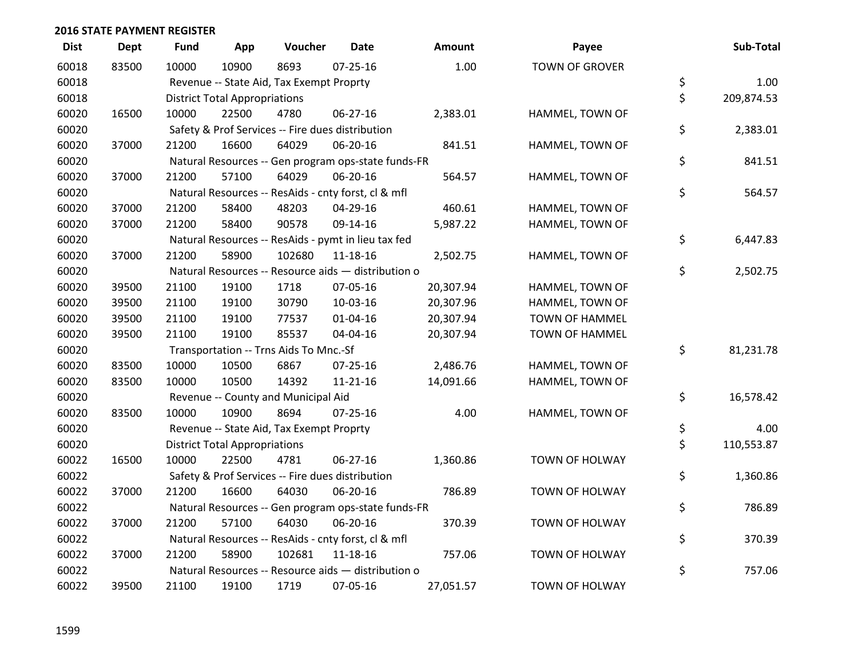| <b>Dist</b> | <b>Dept</b> | <b>Fund</b> | App                                  | Voucher                                             | <b>Date</b>    | Amount    | Payee                 | Sub-Total        |
|-------------|-------------|-------------|--------------------------------------|-----------------------------------------------------|----------------|-----------|-----------------------|------------------|
| 60018       | 83500       | 10000       | 10900                                | 8693                                                | $07 - 25 - 16$ | 1.00      | <b>TOWN OF GROVER</b> |                  |
| 60018       |             |             |                                      | Revenue -- State Aid, Tax Exempt Proprty            |                |           |                       | \$<br>1.00       |
| 60018       |             |             | <b>District Total Appropriations</b> |                                                     |                |           |                       | \$<br>209,874.53 |
| 60020       | 16500       | 10000       | 22500                                | 4780                                                | 06-27-16       | 2,383.01  | HAMMEL, TOWN OF       |                  |
| 60020       |             |             |                                      | Safety & Prof Services -- Fire dues distribution    |                |           |                       | \$<br>2,383.01   |
| 60020       | 37000       | 21200       | 16600                                | 64029                                               | 06-20-16       | 841.51    | HAMMEL, TOWN OF       |                  |
| 60020       |             |             |                                      | Natural Resources -- Gen program ops-state funds-FR |                |           |                       | \$<br>841.51     |
| 60020       | 37000       | 21200       | 57100                                | 64029                                               | 06-20-16       | 564.57    | HAMMEL, TOWN OF       |                  |
| 60020       |             |             |                                      | Natural Resources -- ResAids - cnty forst, cl & mfl |                |           |                       | \$<br>564.57     |
| 60020       | 37000       | 21200       | 58400                                | 48203                                               | 04-29-16       | 460.61    | HAMMEL, TOWN OF       |                  |
| 60020       | 37000       | 21200       | 58400                                | 90578                                               | 09-14-16       | 5,987.22  | HAMMEL, TOWN OF       |                  |
| 60020       |             |             |                                      | Natural Resources -- ResAids - pymt in lieu tax fed |                |           |                       | \$<br>6,447.83   |
| 60020       | 37000       | 21200       | 58900                                | 102680                                              | 11-18-16       | 2,502.75  | HAMMEL, TOWN OF       |                  |
| 60020       |             |             |                                      | Natural Resources -- Resource aids - distribution o |                |           |                       | \$<br>2,502.75   |
| 60020       | 39500       | 21100       | 19100                                | 1718                                                | 07-05-16       | 20,307.94 | HAMMEL, TOWN OF       |                  |
| 60020       | 39500       | 21100       | 19100                                | 30790                                               | 10-03-16       | 20,307.96 | HAMMEL, TOWN OF       |                  |
| 60020       | 39500       | 21100       | 19100                                | 77537                                               | $01 - 04 - 16$ | 20,307.94 | TOWN OF HAMMEL        |                  |
| 60020       | 39500       | 21100       | 19100                                | 85537                                               | 04-04-16       | 20,307.94 | TOWN OF HAMMEL        |                  |
| 60020       |             |             |                                      | Transportation -- Trns Aids To Mnc.-Sf              |                |           |                       | \$<br>81,231.78  |
| 60020       | 83500       | 10000       | 10500                                | 6867                                                | 07-25-16       | 2,486.76  | HAMMEL, TOWN OF       |                  |
| 60020       | 83500       | 10000       | 10500                                | 14392                                               | $11 - 21 - 16$ | 14,091.66 | HAMMEL, TOWN OF       |                  |
| 60020       |             |             |                                      | Revenue -- County and Municipal Aid                 |                |           |                       | \$<br>16,578.42  |
| 60020       | 83500       | 10000       | 10900                                | 8694                                                | $07 - 25 - 16$ | 4.00      | HAMMEL, TOWN OF       |                  |
| 60020       |             |             |                                      | Revenue -- State Aid, Tax Exempt Proprty            |                |           |                       | \$<br>4.00       |
| 60020       |             |             | <b>District Total Appropriations</b> |                                                     |                |           |                       | \$<br>110,553.87 |
| 60022       | 16500       | 10000       | 22500                                | 4781                                                | 06-27-16       | 1,360.86  | TOWN OF HOLWAY        |                  |
| 60022       |             |             |                                      | Safety & Prof Services -- Fire dues distribution    |                |           |                       | \$<br>1,360.86   |
| 60022       | 37000       | 21200       | 16600                                | 64030                                               | 06-20-16       | 786.89    | <b>TOWN OF HOLWAY</b> |                  |
| 60022       |             |             |                                      | Natural Resources -- Gen program ops-state funds-FR |                |           |                       | \$<br>786.89     |
| 60022       | 37000       | 21200       | 57100                                | 64030                                               | 06-20-16       | 370.39    | <b>TOWN OF HOLWAY</b> |                  |
| 60022       |             |             |                                      | Natural Resources -- ResAids - cnty forst, cl & mfl |                |           |                       | \$<br>370.39     |
| 60022       | 37000       | 21200       | 58900                                | 102681                                              | 11-18-16       | 757.06    | <b>TOWN OF HOLWAY</b> |                  |
| 60022       |             |             |                                      | Natural Resources -- Resource aids - distribution o |                |           |                       | \$<br>757.06     |
| 60022       | 39500       | 21100       | 19100                                | 1719                                                | 07-05-16       | 27,051.57 | <b>TOWN OF HOLWAY</b> |                  |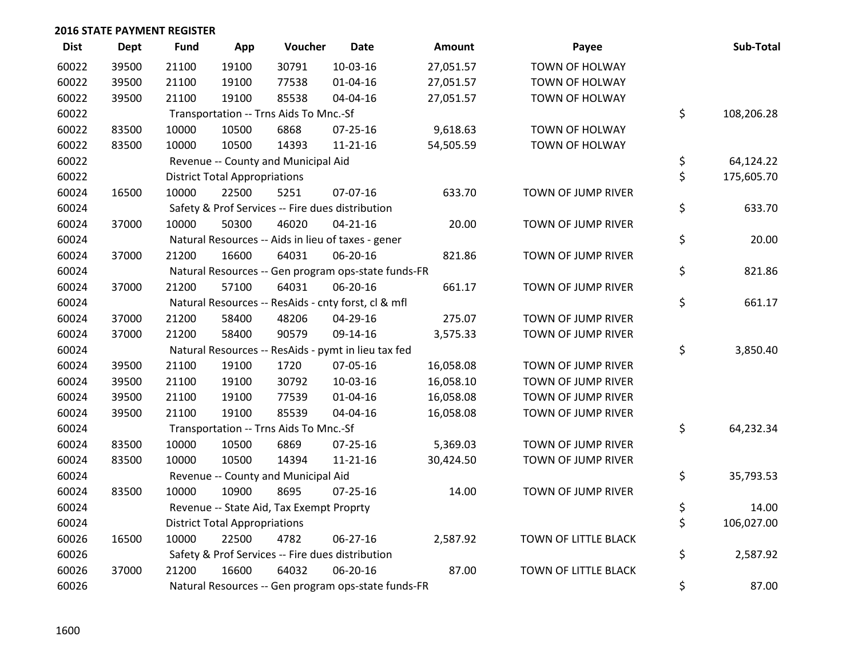| <b>Dist</b> | Dept  | <b>Fund</b> | App                                  | Voucher                                  | Date                                                | Amount    | Payee                 | Sub-Total        |
|-------------|-------|-------------|--------------------------------------|------------------------------------------|-----------------------------------------------------|-----------|-----------------------|------------------|
| 60022       | 39500 | 21100       | 19100                                | 30791                                    | 10-03-16                                            | 27,051.57 | <b>TOWN OF HOLWAY</b> |                  |
| 60022       | 39500 | 21100       | 19100                                | 77538                                    | 01-04-16                                            | 27,051.57 | TOWN OF HOLWAY        |                  |
| 60022       | 39500 | 21100       | 19100                                | 85538                                    | 04-04-16                                            | 27,051.57 | TOWN OF HOLWAY        |                  |
| 60022       |       |             |                                      | Transportation -- Trns Aids To Mnc.-Sf   |                                                     |           |                       | \$<br>108,206.28 |
| 60022       | 83500 | 10000       | 10500                                | 6868                                     | $07 - 25 - 16$                                      | 9,618.63  | <b>TOWN OF HOLWAY</b> |                  |
| 60022       | 83500 | 10000       | 10500                                | 14393                                    | $11 - 21 - 16$                                      | 54,505.59 | TOWN OF HOLWAY        |                  |
| 60022       |       |             |                                      | Revenue -- County and Municipal Aid      |                                                     |           |                       | \$<br>64,124.22  |
| 60022       |       |             | <b>District Total Appropriations</b> |                                          |                                                     |           |                       | \$<br>175,605.70 |
| 60024       | 16500 | 10000       | 22500                                | 5251                                     | 07-07-16                                            | 633.70    | TOWN OF JUMP RIVER    |                  |
| 60024       |       |             |                                      |                                          | Safety & Prof Services -- Fire dues distribution    |           |                       | \$<br>633.70     |
| 60024       | 37000 | 10000       | 50300                                | 46020                                    | $04 - 21 - 16$                                      | 20.00     | TOWN OF JUMP RIVER    |                  |
| 60024       |       |             |                                      |                                          | Natural Resources -- Aids in lieu of taxes - gener  |           |                       | \$<br>20.00      |
| 60024       | 37000 | 21200       | 16600                                | 64031                                    | 06-20-16                                            | 821.86    | TOWN OF JUMP RIVER    |                  |
| 60024       |       |             |                                      |                                          | Natural Resources -- Gen program ops-state funds-FR |           |                       | \$<br>821.86     |
| 60024       | 37000 | 21200       | 57100                                | 64031                                    | 06-20-16                                            | 661.17    | TOWN OF JUMP RIVER    |                  |
| 60024       |       |             |                                      |                                          | Natural Resources -- ResAids - cnty forst, cl & mfl |           |                       | \$<br>661.17     |
| 60024       | 37000 | 21200       | 58400                                | 48206                                    | 04-29-16                                            | 275.07    | TOWN OF JUMP RIVER    |                  |
| 60024       | 37000 | 21200       | 58400                                | 90579                                    | 09-14-16                                            | 3,575.33  | TOWN OF JUMP RIVER    |                  |
| 60024       |       |             |                                      |                                          | Natural Resources -- ResAids - pymt in lieu tax fed |           |                       | \$<br>3,850.40   |
| 60024       | 39500 | 21100       | 19100                                | 1720                                     | 07-05-16                                            | 16,058.08 | TOWN OF JUMP RIVER    |                  |
| 60024       | 39500 | 21100       | 19100                                | 30792                                    | 10-03-16                                            | 16,058.10 | TOWN OF JUMP RIVER    |                  |
| 60024       | 39500 | 21100       | 19100                                | 77539                                    | $01 - 04 - 16$                                      | 16,058.08 | TOWN OF JUMP RIVER    |                  |
| 60024       | 39500 | 21100       | 19100                                | 85539                                    | 04-04-16                                            | 16,058.08 | TOWN OF JUMP RIVER    |                  |
| 60024       |       |             |                                      | Transportation -- Trns Aids To Mnc.-Sf   |                                                     |           |                       | \$<br>64,232.34  |
| 60024       | 83500 | 10000       | 10500                                | 6869                                     | $07 - 25 - 16$                                      | 5,369.03  | TOWN OF JUMP RIVER    |                  |
| 60024       | 83500 | 10000       | 10500                                | 14394                                    | 11-21-16                                            | 30,424.50 | TOWN OF JUMP RIVER    |                  |
| 60024       |       |             |                                      | Revenue -- County and Municipal Aid      |                                                     |           |                       | \$<br>35,793.53  |
| 60024       | 83500 | 10000       | 10900                                | 8695                                     | $07 - 25 - 16$                                      | 14.00     | TOWN OF JUMP RIVER    |                  |
| 60024       |       |             |                                      | Revenue -- State Aid, Tax Exempt Proprty |                                                     |           |                       | \$<br>14.00      |
| 60024       |       |             | <b>District Total Appropriations</b> |                                          |                                                     |           |                       | \$<br>106,027.00 |
| 60026       | 16500 | 10000       | 22500                                | 4782                                     | 06-27-16                                            | 2,587.92  | TOWN OF LITTLE BLACK  |                  |
| 60026       |       |             |                                      |                                          | Safety & Prof Services -- Fire dues distribution    |           |                       | \$<br>2,587.92   |
| 60026       | 37000 | 21200       | 16600                                | 64032                                    | 06-20-16                                            | 87.00     | TOWN OF LITTLE BLACK  |                  |
| 60026       |       |             |                                      |                                          | Natural Resources -- Gen program ops-state funds-FR |           |                       | \$<br>87.00      |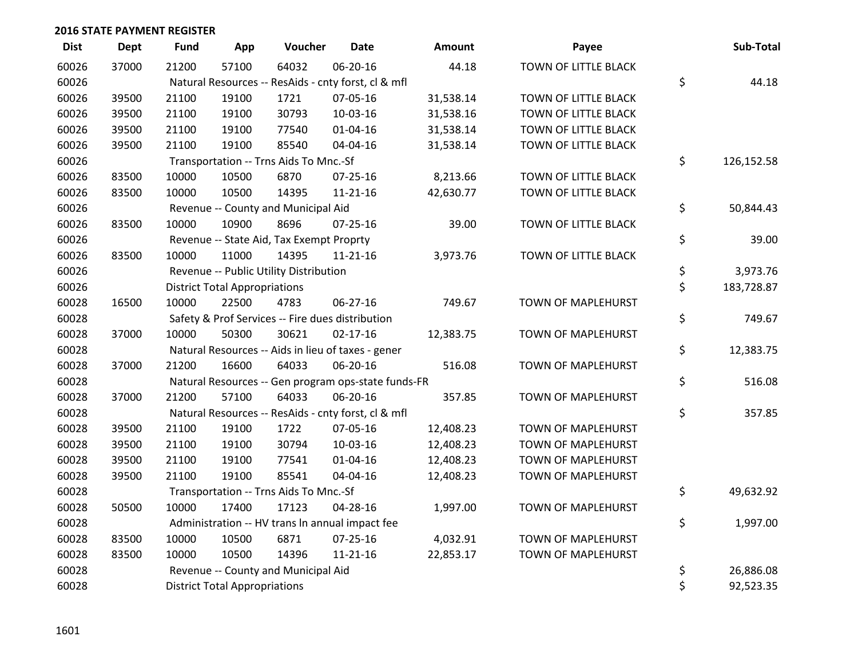| <b>Dist</b> | <b>Dept</b> | <b>Fund</b> | App                                  | Voucher                                             | <b>Date</b>    | <b>Amount</b> | Payee                | Sub-Total        |
|-------------|-------------|-------------|--------------------------------------|-----------------------------------------------------|----------------|---------------|----------------------|------------------|
| 60026       | 37000       | 21200       | 57100                                | 64032                                               | 06-20-16       | 44.18         | TOWN OF LITTLE BLACK |                  |
| 60026       |             |             |                                      | Natural Resources -- ResAids - cnty forst, cl & mfl |                |               |                      | \$<br>44.18      |
| 60026       | 39500       | 21100       | 19100                                | 1721                                                | 07-05-16       | 31,538.14     | TOWN OF LITTLE BLACK |                  |
| 60026       | 39500       | 21100       | 19100                                | 30793                                               | 10-03-16       | 31,538.16     | TOWN OF LITTLE BLACK |                  |
| 60026       | 39500       | 21100       | 19100                                | 77540                                               | $01 - 04 - 16$ | 31,538.14     | TOWN OF LITTLE BLACK |                  |
| 60026       | 39500       | 21100       | 19100                                | 85540                                               | 04-04-16       | 31,538.14     | TOWN OF LITTLE BLACK |                  |
| 60026       |             |             |                                      | Transportation -- Trns Aids To Mnc.-Sf              |                |               |                      | \$<br>126,152.58 |
| 60026       | 83500       | 10000       | 10500                                | 6870                                                | $07 - 25 - 16$ | 8,213.66      | TOWN OF LITTLE BLACK |                  |
| 60026       | 83500       | 10000       | 10500                                | 14395                                               | $11 - 21 - 16$ | 42,630.77     | TOWN OF LITTLE BLACK |                  |
| 60026       |             |             |                                      | Revenue -- County and Municipal Aid                 |                |               |                      | \$<br>50,844.43  |
| 60026       | 83500       | 10000       | 10900                                | 8696                                                | 07-25-16       | 39.00         | TOWN OF LITTLE BLACK |                  |
| 60026       |             |             |                                      | Revenue -- State Aid, Tax Exempt Proprty            |                |               |                      | \$<br>39.00      |
| 60026       | 83500       | 10000       | 11000                                | 14395                                               | $11 - 21 - 16$ | 3,973.76      | TOWN OF LITTLE BLACK |                  |
| 60026       |             |             |                                      | Revenue -- Public Utility Distribution              |                |               |                      | \$<br>3,973.76   |
| 60026       |             |             | <b>District Total Appropriations</b> |                                                     |                |               |                      | \$<br>183,728.87 |
| 60028       | 16500       | 10000       | 22500                                | 4783                                                | 06-27-16       | 749.67        | TOWN OF MAPLEHURST   |                  |
| 60028       |             |             |                                      | Safety & Prof Services -- Fire dues distribution    |                |               |                      | \$<br>749.67     |
| 60028       | 37000       | 10000       | 50300                                | 30621                                               | $02 - 17 - 16$ | 12,383.75     | TOWN OF MAPLEHURST   |                  |
| 60028       |             |             |                                      | Natural Resources -- Aids in lieu of taxes - gener  |                |               |                      | \$<br>12,383.75  |
| 60028       | 37000       | 21200       | 16600                                | 64033                                               | 06-20-16       | 516.08        | TOWN OF MAPLEHURST   |                  |
| 60028       |             |             |                                      | Natural Resources -- Gen program ops-state funds-FR |                |               |                      | \$<br>516.08     |
| 60028       | 37000       | 21200       | 57100                                | 64033                                               | 06-20-16       | 357.85        | TOWN OF MAPLEHURST   |                  |
| 60028       |             |             |                                      | Natural Resources -- ResAids - cnty forst, cl & mfl |                |               |                      | \$<br>357.85     |
| 60028       | 39500       | 21100       | 19100                                | 1722                                                | 07-05-16       | 12,408.23     | TOWN OF MAPLEHURST   |                  |
| 60028       | 39500       | 21100       | 19100                                | 30794                                               | 10-03-16       | 12,408.23     | TOWN OF MAPLEHURST   |                  |
| 60028       | 39500       | 21100       | 19100                                | 77541                                               | $01 - 04 - 16$ | 12,408.23     | TOWN OF MAPLEHURST   |                  |
| 60028       | 39500       | 21100       | 19100                                | 85541                                               | 04-04-16       | 12,408.23     | TOWN OF MAPLEHURST   |                  |
| 60028       |             |             |                                      | Transportation -- Trns Aids To Mnc.-Sf              |                |               |                      | \$<br>49,632.92  |
| 60028       | 50500       | 10000       | 17400                                | 17123                                               | 04-28-16       | 1,997.00      | TOWN OF MAPLEHURST   |                  |
| 60028       |             |             |                                      | Administration -- HV trans In annual impact fee     |                |               |                      | \$<br>1,997.00   |
| 60028       | 83500       | 10000       | 10500                                | 6871                                                | $07 - 25 - 16$ | 4,032.91      | TOWN OF MAPLEHURST   |                  |
| 60028       | 83500       | 10000       | 10500                                | 14396                                               | $11 - 21 - 16$ | 22,853.17     | TOWN OF MAPLEHURST   |                  |
| 60028       |             |             |                                      | Revenue -- County and Municipal Aid                 |                |               |                      | \$<br>26,886.08  |
| 60028       |             |             | <b>District Total Appropriations</b> |                                                     |                |               |                      | \$<br>92,523.35  |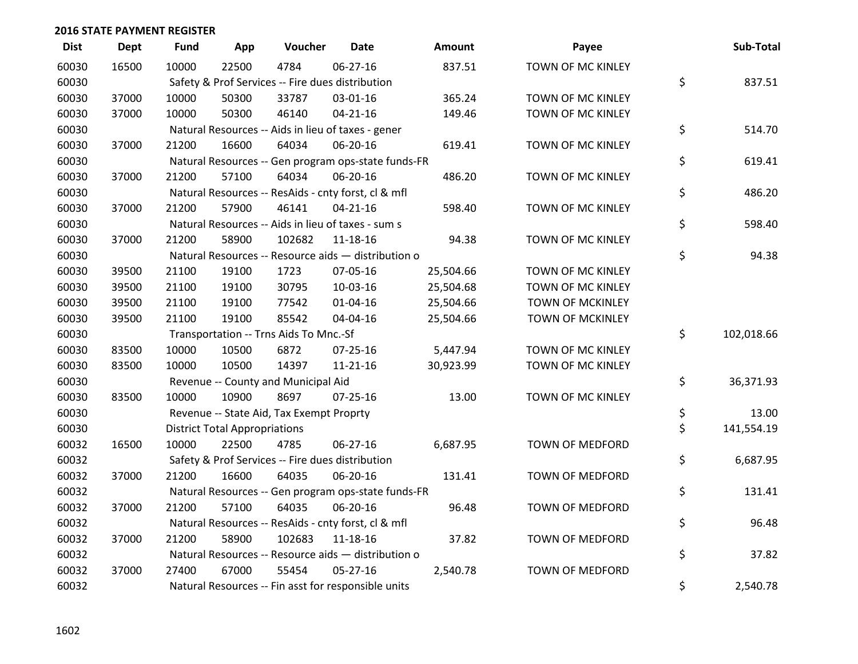| <b>Dist</b> | <b>Dept</b> | <b>Fund</b> | App                                  | Voucher                                             | <b>Date</b>    | <b>Amount</b> | Payee                   | Sub-Total        |
|-------------|-------------|-------------|--------------------------------------|-----------------------------------------------------|----------------|---------------|-------------------------|------------------|
| 60030       | 16500       | 10000       | 22500                                | 4784                                                | 06-27-16       | 837.51        | TOWN OF MC KINLEY       |                  |
| 60030       |             |             |                                      | Safety & Prof Services -- Fire dues distribution    |                |               |                         | \$<br>837.51     |
| 60030       | 37000       | 10000       | 50300                                | 33787                                               | 03-01-16       | 365.24        | TOWN OF MC KINLEY       |                  |
| 60030       | 37000       | 10000       | 50300                                | 46140                                               | $04 - 21 - 16$ | 149.46        | TOWN OF MC KINLEY       |                  |
| 60030       |             |             |                                      | Natural Resources -- Aids in lieu of taxes - gener  |                |               |                         | \$<br>514.70     |
| 60030       | 37000       | 21200       | 16600                                | 64034                                               | 06-20-16       | 619.41        | TOWN OF MC KINLEY       |                  |
| 60030       |             |             |                                      | Natural Resources -- Gen program ops-state funds-FR |                |               |                         | \$<br>619.41     |
| 60030       | 37000       | 21200       | 57100                                | 64034                                               | 06-20-16       | 486.20        | TOWN OF MC KINLEY       |                  |
| 60030       |             |             |                                      | Natural Resources -- ResAids - cnty forst, cl & mfl |                |               |                         | \$<br>486.20     |
| 60030       | 37000       | 21200       | 57900                                | 46141                                               | $04 - 21 - 16$ | 598.40        | TOWN OF MC KINLEY       |                  |
| 60030       |             |             |                                      | Natural Resources -- Aids in lieu of taxes - sum s  |                |               |                         | \$<br>598.40     |
| 60030       | 37000       | 21200       | 58900                                | 102682                                              | 11-18-16       | 94.38         | TOWN OF MC KINLEY       |                  |
| 60030       |             |             |                                      | Natural Resources -- Resource aids - distribution o |                |               |                         | \$<br>94.38      |
| 60030       | 39500       | 21100       | 19100                                | 1723                                                | 07-05-16       | 25,504.66     | TOWN OF MC KINLEY       |                  |
| 60030       | 39500       | 21100       | 19100                                | 30795                                               | 10-03-16       | 25,504.68     | TOWN OF MC KINLEY       |                  |
| 60030       | 39500       | 21100       | 19100                                | 77542                                               | $01 - 04 - 16$ | 25,504.66     | <b>TOWN OF MCKINLEY</b> |                  |
| 60030       | 39500       | 21100       | 19100                                | 85542                                               | 04-04-16       | 25,504.66     | TOWN OF MCKINLEY        |                  |
| 60030       |             |             |                                      | Transportation -- Trns Aids To Mnc.-Sf              |                |               |                         | \$<br>102,018.66 |
| 60030       | 83500       | 10000       | 10500                                | 6872                                                | 07-25-16       | 5,447.94      | TOWN OF MC KINLEY       |                  |
| 60030       | 83500       | 10000       | 10500                                | 14397                                               | $11 - 21 - 16$ | 30,923.99     | TOWN OF MC KINLEY       |                  |
| 60030       |             |             |                                      | Revenue -- County and Municipal Aid                 |                |               |                         | \$<br>36,371.93  |
| 60030       | 83500       | 10000       | 10900                                | 8697                                                | $07 - 25 - 16$ | 13.00         | TOWN OF MC KINLEY       |                  |
| 60030       |             |             |                                      | Revenue -- State Aid, Tax Exempt Proprty            |                |               |                         | \$<br>13.00      |
| 60030       |             |             | <b>District Total Appropriations</b> |                                                     |                |               |                         | \$<br>141,554.19 |
| 60032       | 16500       | 10000       | 22500                                | 4785                                                | $06 - 27 - 16$ | 6,687.95      | <b>TOWN OF MEDFORD</b>  |                  |
| 60032       |             |             |                                      | Safety & Prof Services -- Fire dues distribution    |                |               |                         | \$<br>6,687.95   |
| 60032       | 37000       | 21200       | 16600                                | 64035                                               | 06-20-16       | 131.41        | TOWN OF MEDFORD         |                  |
| 60032       |             |             |                                      | Natural Resources -- Gen program ops-state funds-FR |                |               |                         | \$<br>131.41     |
| 60032       | 37000       | 21200       | 57100                                | 64035                                               | 06-20-16       | 96.48         | <b>TOWN OF MEDFORD</b>  |                  |
| 60032       |             |             |                                      | Natural Resources -- ResAids - cnty forst, cl & mfl |                |               |                         | \$<br>96.48      |
| 60032       | 37000       | 21200       | 58900                                | 102683                                              | 11-18-16       | 37.82         | TOWN OF MEDFORD         |                  |
| 60032       |             |             |                                      | Natural Resources -- Resource aids - distribution o |                |               |                         | \$<br>37.82      |
| 60032       | 37000       | 27400       | 67000                                | 55454                                               | $05 - 27 - 16$ | 2,540.78      | <b>TOWN OF MEDFORD</b>  |                  |
| 60032       |             |             |                                      | Natural Resources -- Fin asst for responsible units |                |               |                         | \$<br>2,540.78   |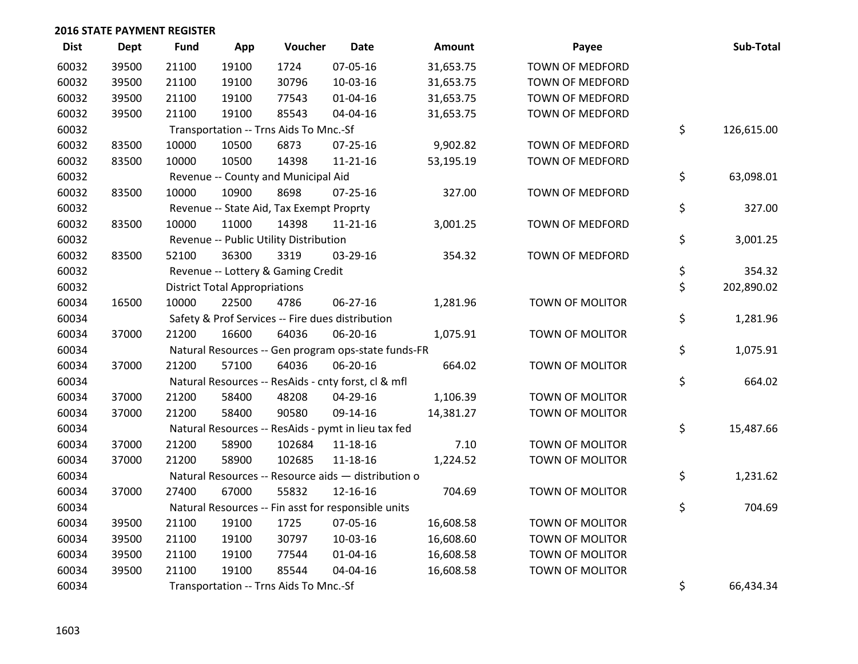| <b>Dist</b> | Dept  | <b>Fund</b> | App                                  | Voucher                                             | <b>Date</b>    | Amount    | Payee                  | Sub-Total        |
|-------------|-------|-------------|--------------------------------------|-----------------------------------------------------|----------------|-----------|------------------------|------------------|
| 60032       | 39500 | 21100       | 19100                                | 1724                                                | 07-05-16       | 31,653.75 | <b>TOWN OF MEDFORD</b> |                  |
| 60032       | 39500 | 21100       | 19100                                | 30796                                               | 10-03-16       | 31,653.75 | TOWN OF MEDFORD        |                  |
| 60032       | 39500 | 21100       | 19100                                | 77543                                               | $01 - 04 - 16$ | 31,653.75 | TOWN OF MEDFORD        |                  |
| 60032       | 39500 | 21100       | 19100                                | 85543                                               | 04-04-16       | 31,653.75 | TOWN OF MEDFORD        |                  |
| 60032       |       |             |                                      | Transportation -- Trns Aids To Mnc.-Sf              |                |           |                        | \$<br>126,615.00 |
| 60032       | 83500 | 10000       | 10500                                | 6873                                                | $07 - 25 - 16$ | 9,902.82  | <b>TOWN OF MEDFORD</b> |                  |
| 60032       | 83500 | 10000       | 10500                                | 14398                                               | $11 - 21 - 16$ | 53,195.19 | <b>TOWN OF MEDFORD</b> |                  |
| 60032       |       |             |                                      | Revenue -- County and Municipal Aid                 |                |           |                        | \$<br>63,098.01  |
| 60032       | 83500 | 10000       | 10900                                | 8698                                                | 07-25-16       | 327.00    | TOWN OF MEDFORD        |                  |
| 60032       |       |             |                                      | Revenue -- State Aid, Tax Exempt Proprty            |                |           |                        | \$<br>327.00     |
| 60032       | 83500 | 10000       | 11000                                | 14398                                               | $11 - 21 - 16$ | 3,001.25  | <b>TOWN OF MEDFORD</b> |                  |
| 60032       |       |             |                                      | Revenue -- Public Utility Distribution              |                |           |                        | \$<br>3,001.25   |
| 60032       | 83500 | 52100       | 36300                                | 3319                                                | 03-29-16       | 354.32    | TOWN OF MEDFORD        |                  |
| 60032       |       |             |                                      | Revenue -- Lottery & Gaming Credit                  |                |           |                        | \$<br>354.32     |
| 60032       |       |             | <b>District Total Appropriations</b> |                                                     |                |           |                        | \$<br>202,890.02 |
| 60034       | 16500 | 10000       | 22500                                | 4786                                                | $06 - 27 - 16$ | 1,281.96  | <b>TOWN OF MOLITOR</b> |                  |
| 60034       |       |             |                                      | Safety & Prof Services -- Fire dues distribution    |                |           |                        | \$<br>1,281.96   |
| 60034       | 37000 | 21200       | 16600                                | 64036                                               | 06-20-16       | 1,075.91  | TOWN OF MOLITOR        |                  |
| 60034       |       |             |                                      | Natural Resources -- Gen program ops-state funds-FR |                |           |                        | \$<br>1,075.91   |
| 60034       | 37000 | 21200       | 57100                                | 64036                                               | 06-20-16       | 664.02    | TOWN OF MOLITOR        |                  |
| 60034       |       |             |                                      | Natural Resources -- ResAids - cnty forst, cl & mfl |                |           |                        | \$<br>664.02     |
| 60034       | 37000 | 21200       | 58400                                | 48208                                               | 04-29-16       | 1,106.39  | <b>TOWN OF MOLITOR</b> |                  |
| 60034       | 37000 | 21200       | 58400                                | 90580                                               | 09-14-16       | 14,381.27 | TOWN OF MOLITOR        |                  |
| 60034       |       |             |                                      | Natural Resources -- ResAids - pymt in lieu tax fed |                |           |                        | \$<br>15,487.66  |
| 60034       | 37000 | 21200       | 58900                                | 102684                                              | 11-18-16       | 7.10      | TOWN OF MOLITOR        |                  |
| 60034       | 37000 | 21200       | 58900                                | 102685                                              | 11-18-16       | 1,224.52  | TOWN OF MOLITOR        |                  |
| 60034       |       |             |                                      | Natural Resources -- Resource aids - distribution o |                |           |                        | \$<br>1,231.62   |
| 60034       | 37000 | 27400       | 67000                                | 55832                                               | 12-16-16       | 704.69    | TOWN OF MOLITOR        |                  |
| 60034       |       |             |                                      | Natural Resources -- Fin asst for responsible units |                |           |                        | \$<br>704.69     |
| 60034       | 39500 | 21100       | 19100                                | 1725                                                | 07-05-16       | 16,608.58 | TOWN OF MOLITOR        |                  |
| 60034       | 39500 | 21100       | 19100                                | 30797                                               | 10-03-16       | 16,608.60 | TOWN OF MOLITOR        |                  |
| 60034       | 39500 | 21100       | 19100                                | 77544                                               | $01 - 04 - 16$ | 16,608.58 | TOWN OF MOLITOR        |                  |
| 60034       | 39500 | 21100       | 19100                                | 85544                                               | 04-04-16       | 16,608.58 | TOWN OF MOLITOR        |                  |
| 60034       |       |             |                                      | Transportation -- Trns Aids To Mnc.-Sf              |                |           |                        | \$<br>66,434.34  |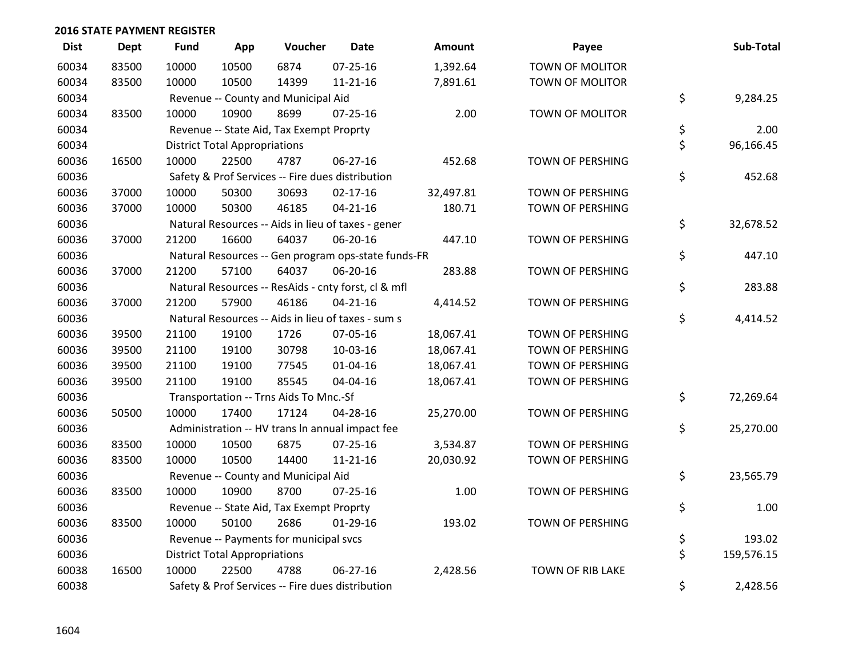| <b>Dist</b> | <b>Dept</b> | <b>Fund</b> | App                                  | Voucher                                          | <b>Date</b>                                         | Amount    | Payee                   | Sub-Total        |
|-------------|-------------|-------------|--------------------------------------|--------------------------------------------------|-----------------------------------------------------|-----------|-------------------------|------------------|
| 60034       | 83500       | 10000       | 10500                                | 6874                                             | 07-25-16                                            | 1,392.64  | <b>TOWN OF MOLITOR</b>  |                  |
| 60034       | 83500       | 10000       | 10500                                | 14399                                            | 11-21-16                                            | 7,891.61  | TOWN OF MOLITOR         |                  |
| 60034       |             |             |                                      | Revenue -- County and Municipal Aid              |                                                     |           |                         | \$<br>9,284.25   |
| 60034       | 83500       | 10000       | 10900                                | 8699                                             | $07 - 25 - 16$                                      | 2.00      | <b>TOWN OF MOLITOR</b>  |                  |
| 60034       |             |             |                                      | Revenue -- State Aid, Tax Exempt Proprty         |                                                     |           |                         | \$<br>2.00       |
| 60034       |             |             | <b>District Total Appropriations</b> |                                                  |                                                     |           |                         | \$<br>96,166.45  |
| 60036       | 16500       | 10000       | 22500                                | 4787                                             | 06-27-16                                            | 452.68    | TOWN OF PERSHING        |                  |
| 60036       |             |             |                                      | Safety & Prof Services -- Fire dues distribution |                                                     |           |                         | \$<br>452.68     |
| 60036       | 37000       | 10000       | 50300                                | 30693                                            | $02 - 17 - 16$                                      | 32,497.81 | <b>TOWN OF PERSHING</b> |                  |
| 60036       | 37000       | 10000       | 50300                                | 46185                                            | $04 - 21 - 16$                                      | 180.71    | TOWN OF PERSHING        |                  |
| 60036       |             |             |                                      |                                                  | Natural Resources -- Aids in lieu of taxes - gener  |           |                         | \$<br>32,678.52  |
| 60036       | 37000       | 21200       | 16600                                | 64037                                            | 06-20-16                                            | 447.10    | <b>TOWN OF PERSHING</b> |                  |
| 60036       |             |             |                                      |                                                  | Natural Resources -- Gen program ops-state funds-FR |           |                         | \$<br>447.10     |
| 60036       | 37000       | 21200       | 57100                                | 64037                                            | 06-20-16                                            | 283.88    | TOWN OF PERSHING        |                  |
| 60036       |             |             |                                      |                                                  | Natural Resources -- ResAids - cnty forst, cl & mfl |           |                         | \$<br>283.88     |
| 60036       | 37000       | 21200       | 57900                                | 46186                                            | $04 - 21 - 16$                                      | 4,414.52  | <b>TOWN OF PERSHING</b> |                  |
| 60036       |             |             |                                      |                                                  | Natural Resources -- Aids in lieu of taxes - sum s  |           |                         | \$<br>4,414.52   |
| 60036       | 39500       | 21100       | 19100                                | 1726                                             | 07-05-16                                            | 18,067.41 | <b>TOWN OF PERSHING</b> |                  |
| 60036       | 39500       | 21100       | 19100                                | 30798                                            | 10-03-16                                            | 18,067.41 | <b>TOWN OF PERSHING</b> |                  |
| 60036       | 39500       | 21100       | 19100                                | 77545                                            | 01-04-16                                            | 18,067.41 | TOWN OF PERSHING        |                  |
| 60036       | 39500       | 21100       | 19100                                | 85545                                            | 04-04-16                                            | 18,067.41 | <b>TOWN OF PERSHING</b> |                  |
| 60036       |             |             |                                      | Transportation -- Trns Aids To Mnc.-Sf           |                                                     |           |                         | \$<br>72,269.64  |
| 60036       | 50500       | 10000       | 17400                                | 17124                                            | 04-28-16                                            | 25,270.00 | <b>TOWN OF PERSHING</b> |                  |
| 60036       |             |             |                                      |                                                  | Administration -- HV trans In annual impact fee     |           |                         | \$<br>25,270.00  |
| 60036       | 83500       | 10000       | 10500                                | 6875                                             | $07 - 25 - 16$                                      | 3,534.87  | TOWN OF PERSHING        |                  |
| 60036       | 83500       | 10000       | 10500                                | 14400                                            | $11 - 21 - 16$                                      | 20,030.92 | TOWN OF PERSHING        |                  |
| 60036       |             |             |                                      | Revenue -- County and Municipal Aid              |                                                     |           |                         | \$<br>23,565.79  |
| 60036       | 83500       | 10000       | 10900                                | 8700                                             | $07 - 25 - 16$                                      | 1.00      | <b>TOWN OF PERSHING</b> |                  |
| 60036       |             |             |                                      | Revenue -- State Aid, Tax Exempt Proprty         |                                                     |           |                         | \$<br>1.00       |
| 60036       | 83500       | 10000       | 50100                                | 2686                                             | $01-29-16$                                          | 193.02    | TOWN OF PERSHING        |                  |
| 60036       |             |             |                                      | Revenue -- Payments for municipal svcs           |                                                     |           |                         | \$<br>193.02     |
| 60036       |             |             | <b>District Total Appropriations</b> |                                                  |                                                     |           |                         | \$<br>159,576.15 |
| 60038       | 16500       | 10000       | 22500                                | 4788                                             | 06-27-16                                            | 2,428.56  | <b>TOWN OF RIB LAKE</b> |                  |
| 60038       |             |             |                                      | Safety & Prof Services -- Fire dues distribution |                                                     |           |                         | \$<br>2,428.56   |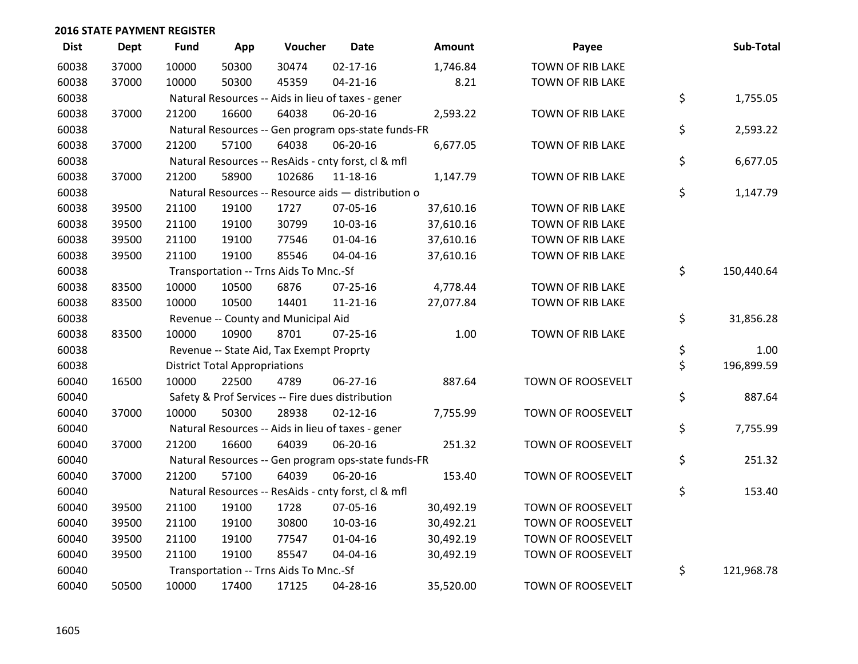| <b>Dist</b> | <b>Dept</b> | <b>Fund</b> | App                                  | Voucher                                             | <b>Date</b>    | <b>Amount</b> | Payee                   | Sub-Total        |
|-------------|-------------|-------------|--------------------------------------|-----------------------------------------------------|----------------|---------------|-------------------------|------------------|
| 60038       | 37000       | 10000       | 50300                                | 30474                                               | $02 - 17 - 16$ | 1,746.84      | <b>TOWN OF RIB LAKE</b> |                  |
| 60038       | 37000       | 10000       | 50300                                | 45359                                               | $04 - 21 - 16$ | 8.21          | TOWN OF RIB LAKE        |                  |
| 60038       |             |             |                                      | Natural Resources -- Aids in lieu of taxes - gener  |                |               |                         | \$<br>1,755.05   |
| 60038       | 37000       | 21200       | 16600                                | 64038                                               | 06-20-16       | 2,593.22      | TOWN OF RIB LAKE        |                  |
| 60038       |             |             |                                      | Natural Resources -- Gen program ops-state funds-FR |                |               |                         | \$<br>2,593.22   |
| 60038       | 37000       | 21200       | 57100                                | 64038                                               | 06-20-16       | 6,677.05      | <b>TOWN OF RIB LAKE</b> |                  |
| 60038       |             |             |                                      | Natural Resources -- ResAids - cnty forst, cl & mfl |                |               |                         | \$<br>6,677.05   |
| 60038       | 37000       | 21200       | 58900                                | 102686                                              | $11 - 18 - 16$ | 1,147.79      | <b>TOWN OF RIB LAKE</b> |                  |
| 60038       |             |             |                                      | Natural Resources -- Resource aids - distribution o |                |               |                         | \$<br>1,147.79   |
| 60038       | 39500       | 21100       | 19100                                | 1727                                                | 07-05-16       | 37,610.16     | TOWN OF RIB LAKE        |                  |
| 60038       | 39500       | 21100       | 19100                                | 30799                                               | 10-03-16       | 37,610.16     | TOWN OF RIB LAKE        |                  |
| 60038       | 39500       | 21100       | 19100                                | 77546                                               | $01 - 04 - 16$ | 37,610.16     | <b>TOWN OF RIB LAKE</b> |                  |
| 60038       | 39500       | 21100       | 19100                                | 85546                                               | 04-04-16       | 37,610.16     | TOWN OF RIB LAKE        |                  |
| 60038       |             |             |                                      | Transportation -- Trns Aids To Mnc.-Sf              |                |               |                         | \$<br>150,440.64 |
| 60038       | 83500       | 10000       | 10500                                | 6876                                                | $07 - 25 - 16$ | 4,778.44      | <b>TOWN OF RIB LAKE</b> |                  |
| 60038       | 83500       | 10000       | 10500                                | 14401                                               | $11 - 21 - 16$ | 27,077.84     | TOWN OF RIB LAKE        |                  |
| 60038       |             |             |                                      | Revenue -- County and Municipal Aid                 |                |               |                         | \$<br>31,856.28  |
| 60038       | 83500       | 10000       | 10900                                | 8701                                                | $07 - 25 - 16$ | 1.00          | TOWN OF RIB LAKE        |                  |
| 60038       |             |             |                                      | Revenue -- State Aid, Tax Exempt Proprty            |                |               |                         | \$<br>1.00       |
| 60038       |             |             | <b>District Total Appropriations</b> |                                                     |                |               |                         | \$<br>196,899.59 |
| 60040       | 16500       | 10000       | 22500                                | 4789                                                | 06-27-16       | 887.64        | TOWN OF ROOSEVELT       |                  |
| 60040       |             |             |                                      | Safety & Prof Services -- Fire dues distribution    |                |               |                         | \$<br>887.64     |
| 60040       | 37000       | 10000       | 50300                                | 28938                                               | $02 - 12 - 16$ | 7,755.99      | TOWN OF ROOSEVELT       |                  |
| 60040       |             |             |                                      | Natural Resources -- Aids in lieu of taxes - gener  |                |               |                         | \$<br>7,755.99   |
| 60040       | 37000       | 21200       | 16600                                | 64039                                               | 06-20-16       | 251.32        | TOWN OF ROOSEVELT       |                  |
| 60040       |             |             |                                      | Natural Resources -- Gen program ops-state funds-FR |                |               |                         | \$<br>251.32     |
| 60040       | 37000       | 21200       | 57100                                | 64039                                               | 06-20-16       | 153.40        | TOWN OF ROOSEVELT       |                  |
| 60040       |             |             |                                      | Natural Resources -- ResAids - cnty forst, cl & mfl |                |               |                         | \$<br>153.40     |
| 60040       | 39500       | 21100       | 19100                                | 1728                                                | 07-05-16       | 30,492.19     | TOWN OF ROOSEVELT       |                  |
| 60040       | 39500       | 21100       | 19100                                | 30800                                               | 10-03-16       | 30,492.21     | TOWN OF ROOSEVELT       |                  |
| 60040       | 39500       | 21100       | 19100                                | 77547                                               | $01 - 04 - 16$ | 30,492.19     | TOWN OF ROOSEVELT       |                  |
| 60040       | 39500       | 21100       | 19100                                | 85547                                               | 04-04-16       | 30,492.19     | TOWN OF ROOSEVELT       |                  |
| 60040       |             |             |                                      | Transportation -- Trns Aids To Mnc.-Sf              |                |               |                         | \$<br>121,968.78 |
| 60040       | 50500       | 10000       | 17400                                | 17125                                               | 04-28-16       | 35,520.00     | TOWN OF ROOSEVELT       |                  |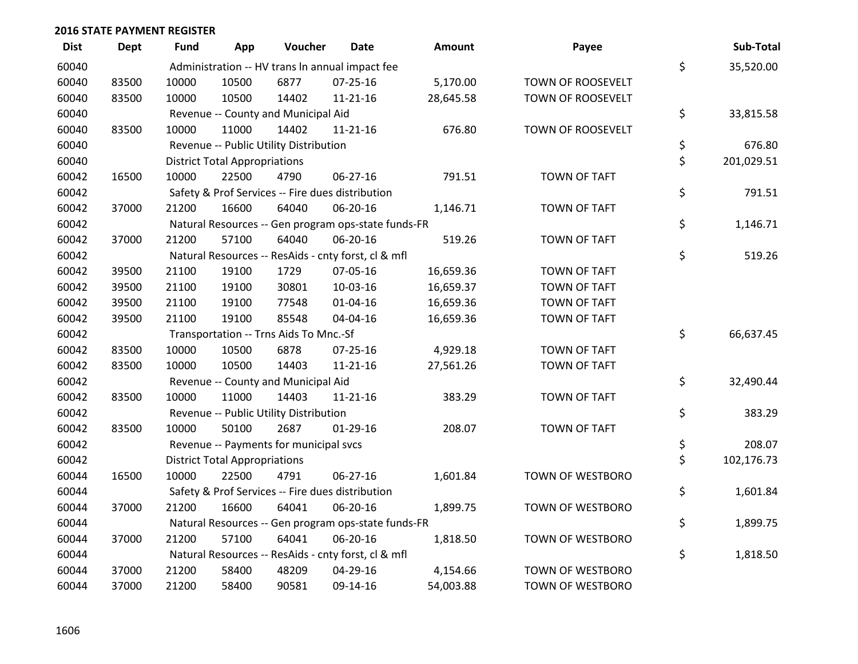| <b>Dist</b> | Dept  | Fund  | App                                  | Voucher                                | <b>Date</b>                                         | <b>Amount</b> | Payee                   | Sub-Total        |
|-------------|-------|-------|--------------------------------------|----------------------------------------|-----------------------------------------------------|---------------|-------------------------|------------------|
| 60040       |       |       |                                      |                                        | Administration -- HV trans In annual impact fee     |               |                         | \$<br>35,520.00  |
| 60040       | 83500 | 10000 | 10500                                | 6877                                   | $07 - 25 - 16$                                      | 5,170.00      | TOWN OF ROOSEVELT       |                  |
| 60040       | 83500 | 10000 | 10500                                | 14402                                  | $11 - 21 - 16$                                      | 28,645.58     | TOWN OF ROOSEVELT       |                  |
| 60040       |       |       |                                      | Revenue -- County and Municipal Aid    |                                                     |               |                         | \$<br>33,815.58  |
| 60040       | 83500 | 10000 | 11000                                | 14402                                  | 11-21-16                                            | 676.80        | TOWN OF ROOSEVELT       |                  |
| 60040       |       |       |                                      | Revenue -- Public Utility Distribution |                                                     |               |                         | \$<br>676.80     |
| 60040       |       |       | <b>District Total Appropriations</b> |                                        |                                                     |               |                         | \$<br>201,029.51 |
| 60042       | 16500 | 10000 | 22500                                | 4790                                   | 06-27-16                                            | 791.51        | <b>TOWN OF TAFT</b>     |                  |
| 60042       |       |       |                                      |                                        | Safety & Prof Services -- Fire dues distribution    |               |                         | \$<br>791.51     |
| 60042       | 37000 | 21200 | 16600                                | 64040                                  | 06-20-16                                            | 1,146.71      | TOWN OF TAFT            |                  |
| 60042       |       |       |                                      |                                        | Natural Resources -- Gen program ops-state funds-FR |               |                         | \$<br>1,146.71   |
| 60042       | 37000 | 21200 | 57100                                | 64040                                  | 06-20-16                                            | 519.26        | <b>TOWN OF TAFT</b>     |                  |
| 60042       |       |       |                                      |                                        | Natural Resources -- ResAids - cnty forst, cl & mfl |               |                         | \$<br>519.26     |
| 60042       | 39500 | 21100 | 19100                                | 1729                                   | 07-05-16                                            | 16,659.36     | <b>TOWN OF TAFT</b>     |                  |
| 60042       | 39500 | 21100 | 19100                                | 30801                                  | 10-03-16                                            | 16,659.37     | <b>TOWN OF TAFT</b>     |                  |
| 60042       | 39500 | 21100 | 19100                                | 77548                                  | $01 - 04 - 16$                                      | 16,659.36     | <b>TOWN OF TAFT</b>     |                  |
| 60042       | 39500 | 21100 | 19100                                | 85548                                  | 04-04-16                                            | 16,659.36     | <b>TOWN OF TAFT</b>     |                  |
| 60042       |       |       |                                      | Transportation -- Trns Aids To Mnc.-Sf |                                                     |               |                         | \$<br>66,637.45  |
| 60042       | 83500 | 10000 | 10500                                | 6878                                   | $07 - 25 - 16$                                      | 4,929.18      | <b>TOWN OF TAFT</b>     |                  |
| 60042       | 83500 | 10000 | 10500                                | 14403                                  | $11 - 21 - 16$                                      | 27,561.26     | <b>TOWN OF TAFT</b>     |                  |
| 60042       |       |       |                                      | Revenue -- County and Municipal Aid    |                                                     |               |                         | \$<br>32,490.44  |
| 60042       | 83500 | 10000 | 11000                                | 14403                                  | $11 - 21 - 16$                                      | 383.29        | <b>TOWN OF TAFT</b>     |                  |
| 60042       |       |       |                                      | Revenue -- Public Utility Distribution |                                                     |               |                         | \$<br>383.29     |
| 60042       | 83500 | 10000 | 50100                                | 2687                                   | $01-29-16$                                          | 208.07        | <b>TOWN OF TAFT</b>     |                  |
| 60042       |       |       |                                      | Revenue -- Payments for municipal svcs |                                                     |               |                         | \$<br>208.07     |
| 60042       |       |       | <b>District Total Appropriations</b> |                                        |                                                     |               |                         | \$<br>102,176.73 |
| 60044       | 16500 | 10000 | 22500                                | 4791                                   | 06-27-16                                            | 1,601.84      | TOWN OF WESTBORO        |                  |
| 60044       |       |       |                                      |                                        | Safety & Prof Services -- Fire dues distribution    |               |                         | \$<br>1,601.84   |
| 60044       | 37000 | 21200 | 16600                                | 64041                                  | 06-20-16                                            | 1,899.75      | TOWN OF WESTBORO        |                  |
| 60044       |       |       |                                      |                                        | Natural Resources -- Gen program ops-state funds-FR |               |                         | \$<br>1,899.75   |
| 60044       | 37000 | 21200 | 57100                                | 64041                                  | 06-20-16                                            | 1,818.50      | TOWN OF WESTBORO        |                  |
| 60044       |       |       |                                      |                                        | Natural Resources -- ResAids - cnty forst, cl & mfl |               |                         | \$<br>1,818.50   |
| 60044       | 37000 | 21200 | 58400                                | 48209                                  | 04-29-16                                            | 4,154.66      | <b>TOWN OF WESTBORO</b> |                  |
| 60044       | 37000 | 21200 | 58400                                | 90581                                  | 09-14-16                                            | 54,003.88     | TOWN OF WESTBORO        |                  |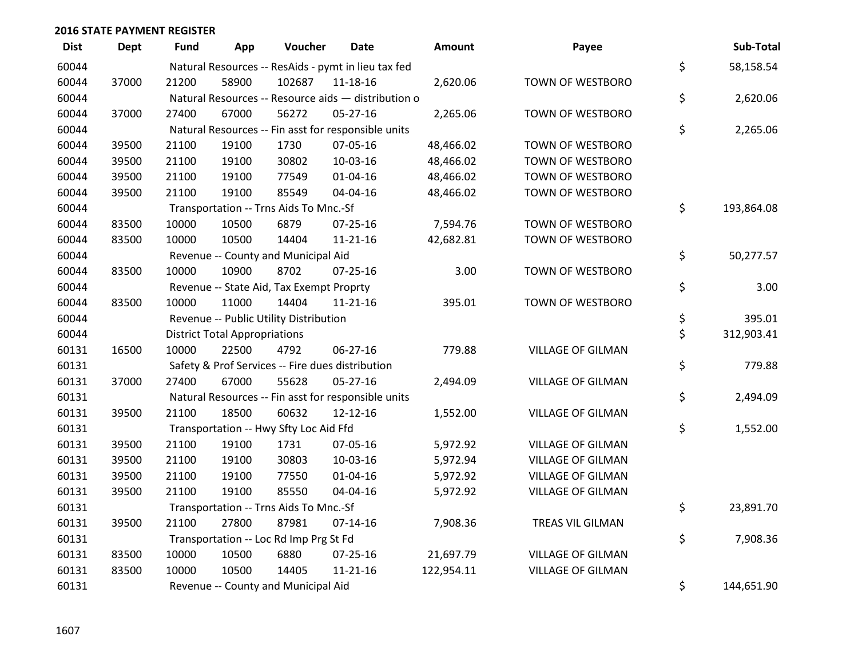| <b>Dist</b> | <b>Dept</b> | <b>Fund</b> | App                                  | Voucher                                          | <b>Date</b>                                         | <b>Amount</b> | Payee                    | Sub-Total        |
|-------------|-------------|-------------|--------------------------------------|--------------------------------------------------|-----------------------------------------------------|---------------|--------------------------|------------------|
| 60044       |             |             |                                      |                                                  | Natural Resources -- ResAids - pymt in lieu tax fed |               |                          | \$<br>58,158.54  |
| 60044       | 37000       | 21200       | 58900                                | 102687                                           | 11-18-16                                            | 2,620.06      | TOWN OF WESTBORO         |                  |
| 60044       |             |             |                                      |                                                  | Natural Resources -- Resource aids - distribution o |               |                          | \$<br>2,620.06   |
| 60044       | 37000       | 27400       | 67000                                | 56272                                            | 05-27-16                                            | 2,265.06      | TOWN OF WESTBORO         |                  |
| 60044       |             |             |                                      |                                                  | Natural Resources -- Fin asst for responsible units |               |                          | \$<br>2,265.06   |
| 60044       | 39500       | 21100       | 19100                                | 1730                                             | 07-05-16                                            | 48,466.02     | TOWN OF WESTBORO         |                  |
| 60044       | 39500       | 21100       | 19100                                | 30802                                            | 10-03-16                                            | 48,466.02     | TOWN OF WESTBORO         |                  |
| 60044       | 39500       | 21100       | 19100                                | 77549                                            | $01 - 04 - 16$                                      | 48,466.02     | TOWN OF WESTBORO         |                  |
| 60044       | 39500       | 21100       | 19100                                | 85549                                            | 04-04-16                                            | 48,466.02     | TOWN OF WESTBORO         |                  |
| 60044       |             |             |                                      | Transportation -- Trns Aids To Mnc.-Sf           |                                                     |               |                          | \$<br>193,864.08 |
| 60044       | 83500       | 10000       | 10500                                | 6879                                             | 07-25-16                                            | 7,594.76      | TOWN OF WESTBORO         |                  |
| 60044       | 83500       | 10000       | 10500                                | 14404                                            | $11 - 21 - 16$                                      | 42,682.81     | <b>TOWN OF WESTBORO</b>  |                  |
| 60044       |             |             |                                      | Revenue -- County and Municipal Aid              |                                                     |               |                          | \$<br>50,277.57  |
| 60044       | 83500       | 10000       | 10900                                | 8702                                             | $07 - 25 - 16$                                      | 3.00          | TOWN OF WESTBORO         |                  |
| 60044       |             |             |                                      | Revenue -- State Aid, Tax Exempt Proprty         |                                                     |               |                          | \$<br>3.00       |
| 60044       | 83500       | 10000       | 11000                                | 14404                                            | $11 - 21 - 16$                                      | 395.01        | TOWN OF WESTBORO         |                  |
| 60044       |             |             |                                      | Revenue -- Public Utility Distribution           |                                                     |               |                          | \$<br>395.01     |
| 60044       |             |             | <b>District Total Appropriations</b> |                                                  |                                                     |               |                          | \$<br>312,903.41 |
| 60131       | 16500       | 10000       | 22500                                | 4792                                             | $06 - 27 - 16$                                      | 779.88        | <b>VILLAGE OF GILMAN</b> |                  |
| 60131       |             |             |                                      | Safety & Prof Services -- Fire dues distribution |                                                     |               |                          | \$<br>779.88     |
| 60131       | 37000       | 27400       | 67000                                | 55628                                            | 05-27-16                                            | 2,494.09      | <b>VILLAGE OF GILMAN</b> |                  |
| 60131       |             |             |                                      |                                                  | Natural Resources -- Fin asst for responsible units |               |                          | \$<br>2,494.09   |
| 60131       | 39500       | 21100       | 18500                                | 60632                                            | 12-12-16                                            | 1,552.00      | <b>VILLAGE OF GILMAN</b> |                  |
| 60131       |             |             |                                      | Transportation -- Hwy Sfty Loc Aid Ffd           |                                                     |               |                          | \$<br>1,552.00   |
| 60131       | 39500       | 21100       | 19100                                | 1731                                             | 07-05-16                                            | 5,972.92      | <b>VILLAGE OF GILMAN</b> |                  |
| 60131       | 39500       | 21100       | 19100                                | 30803                                            | 10-03-16                                            | 5,972.94      | <b>VILLAGE OF GILMAN</b> |                  |
| 60131       | 39500       | 21100       | 19100                                | 77550                                            | $01 - 04 - 16$                                      | 5,972.92      | <b>VILLAGE OF GILMAN</b> |                  |
| 60131       | 39500       | 21100       | 19100                                | 85550                                            | 04-04-16                                            | 5,972.92      | <b>VILLAGE OF GILMAN</b> |                  |
| 60131       |             |             |                                      | Transportation -- Trns Aids To Mnc.-Sf           |                                                     |               |                          | \$<br>23,891.70  |
| 60131       | 39500       | 21100       | 27800                                | 87981                                            | $07-14-16$                                          | 7,908.36      | TREAS VIL GILMAN         |                  |
| 60131       |             |             |                                      | Transportation -- Loc Rd Imp Prg St Fd           |                                                     |               |                          | \$<br>7,908.36   |
| 60131       | 83500       | 10000       | 10500                                | 6880                                             | 07-25-16                                            | 21,697.79     | <b>VILLAGE OF GILMAN</b> |                  |
| 60131       | 83500       | 10000       | 10500                                | 14405                                            | $11 - 21 - 16$                                      | 122,954.11    | <b>VILLAGE OF GILMAN</b> |                  |
| 60131       |             |             |                                      | Revenue -- County and Municipal Aid              |                                                     |               |                          | \$<br>144,651.90 |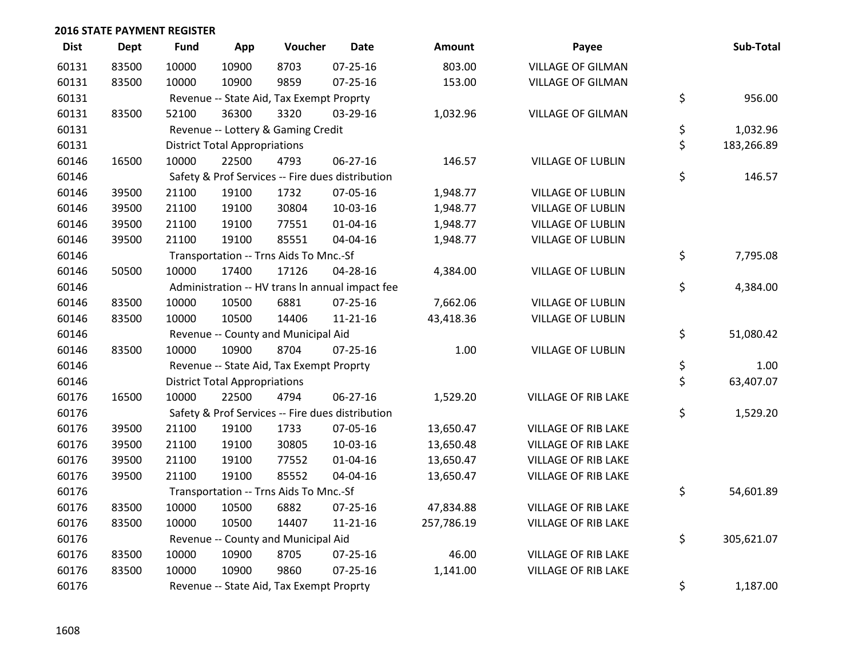| <b>Dist</b> | <b>Dept</b> | <b>Fund</b> | App                                      | Voucher                                  | <b>Date</b>                                      | Amount     | Payee                      | Sub-Total        |
|-------------|-------------|-------------|------------------------------------------|------------------------------------------|--------------------------------------------------|------------|----------------------------|------------------|
| 60131       | 83500       | 10000       | 10900                                    | 8703                                     | $07 - 25 - 16$                                   | 803.00     | <b>VILLAGE OF GILMAN</b>   |                  |
| 60131       | 83500       | 10000       | 10900                                    | 9859                                     | $07 - 25 - 16$                                   | 153.00     | <b>VILLAGE OF GILMAN</b>   |                  |
| 60131       |             |             |                                          | Revenue -- State Aid, Tax Exempt Proprty |                                                  |            |                            | \$<br>956.00     |
| 60131       | 83500       | 52100       | 36300                                    | 3320                                     | 03-29-16                                         | 1,032.96   | <b>VILLAGE OF GILMAN</b>   |                  |
| 60131       |             |             |                                          | Revenue -- Lottery & Gaming Credit       |                                                  |            |                            | \$<br>1,032.96   |
| 60131       |             |             | <b>District Total Appropriations</b>     |                                          |                                                  |            |                            | \$<br>183,266.89 |
| 60146       | 16500       | 10000       | 22500                                    | 4793                                     | 06-27-16                                         | 146.57     | <b>VILLAGE OF LUBLIN</b>   |                  |
| 60146       |             |             |                                          |                                          | Safety & Prof Services -- Fire dues distribution |            |                            | \$<br>146.57     |
| 60146       | 39500       | 21100       | 19100                                    | 1732                                     | 07-05-16                                         | 1,948.77   | <b>VILLAGE OF LUBLIN</b>   |                  |
| 60146       | 39500       | 21100       | 19100                                    | 30804                                    | 10-03-16                                         | 1,948.77   | <b>VILLAGE OF LUBLIN</b>   |                  |
| 60146       | 39500       | 21100       | 19100                                    | 77551                                    | $01 - 04 - 16$                                   | 1,948.77   | <b>VILLAGE OF LUBLIN</b>   |                  |
| 60146       | 39500       | 21100       | 19100                                    | 85551                                    | 04-04-16                                         | 1,948.77   | <b>VILLAGE OF LUBLIN</b>   |                  |
| 60146       |             |             |                                          | Transportation -- Trns Aids To Mnc.-Sf   |                                                  |            |                            | \$<br>7,795.08   |
| 60146       | 50500       | 10000       | 17400                                    | 17126                                    | 04-28-16                                         | 4,384.00   | VILLAGE OF LUBLIN          |                  |
| 60146       |             |             |                                          |                                          | Administration -- HV trans In annual impact fee  |            |                            | \$<br>4,384.00   |
| 60146       | 83500       | 10000       | 10500                                    | 6881                                     | 07-25-16                                         | 7,662.06   | <b>VILLAGE OF LUBLIN</b>   |                  |
| 60146       | 83500       | 10000       | 10500                                    | 14406                                    | $11 - 21 - 16$                                   | 43,418.36  | <b>VILLAGE OF LUBLIN</b>   |                  |
| 60146       |             |             |                                          | Revenue -- County and Municipal Aid      |                                                  |            |                            | \$<br>51,080.42  |
| 60146       | 83500       | 10000       | 10900                                    | 8704                                     | $07 - 25 - 16$                                   | 1.00       | <b>VILLAGE OF LUBLIN</b>   |                  |
| 60146       |             |             |                                          | Revenue -- State Aid, Tax Exempt Proprty |                                                  |            |                            | \$<br>1.00       |
| 60146       |             |             | <b>District Total Appropriations</b>     |                                          |                                                  |            |                            | \$<br>63,407.07  |
| 60176       | 16500       | 10000       | 22500                                    | 4794                                     | 06-27-16                                         | 1,529.20   | <b>VILLAGE OF RIB LAKE</b> |                  |
| 60176       |             |             |                                          |                                          | Safety & Prof Services -- Fire dues distribution |            |                            | \$<br>1,529.20   |
| 60176       | 39500       | 21100       | 19100                                    | 1733                                     | 07-05-16                                         | 13,650.47  | <b>VILLAGE OF RIB LAKE</b> |                  |
| 60176       | 39500       | 21100       | 19100                                    | 30805                                    | 10-03-16                                         | 13,650.48  | <b>VILLAGE OF RIB LAKE</b> |                  |
| 60176       | 39500       | 21100       | 19100                                    | 77552                                    | $01 - 04 - 16$                                   | 13,650.47  | <b>VILLAGE OF RIB LAKE</b> |                  |
| 60176       | 39500       | 21100       | 19100                                    | 85552                                    | 04-04-16                                         | 13,650.47  | VILLAGE OF RIB LAKE        |                  |
| 60176       |             |             |                                          | Transportation -- Trns Aids To Mnc.-Sf   |                                                  |            |                            | \$<br>54,601.89  |
| 60176       | 83500       | 10000       | 10500                                    | 6882                                     | 07-25-16                                         | 47,834.88  | <b>VILLAGE OF RIB LAKE</b> |                  |
| 60176       | 83500       | 10000       | 10500                                    | 14407                                    | $11 - 21 - 16$                                   | 257,786.19 | VILLAGE OF RIB LAKE        |                  |
| 60176       |             |             |                                          | Revenue -- County and Municipal Aid      |                                                  |            |                            | \$<br>305,621.07 |
| 60176       | 83500       | 10000       | 10900                                    | 8705                                     | 07-25-16                                         | 46.00      | <b>VILLAGE OF RIB LAKE</b> |                  |
| 60176       | 83500       | 10000       | 10900                                    | 9860                                     | $07 - 25 - 16$                                   | 1,141.00   | <b>VILLAGE OF RIB LAKE</b> |                  |
| 60176       |             |             | Revenue -- State Aid, Tax Exempt Proprty |                                          | \$<br>1,187.00                                   |            |                            |                  |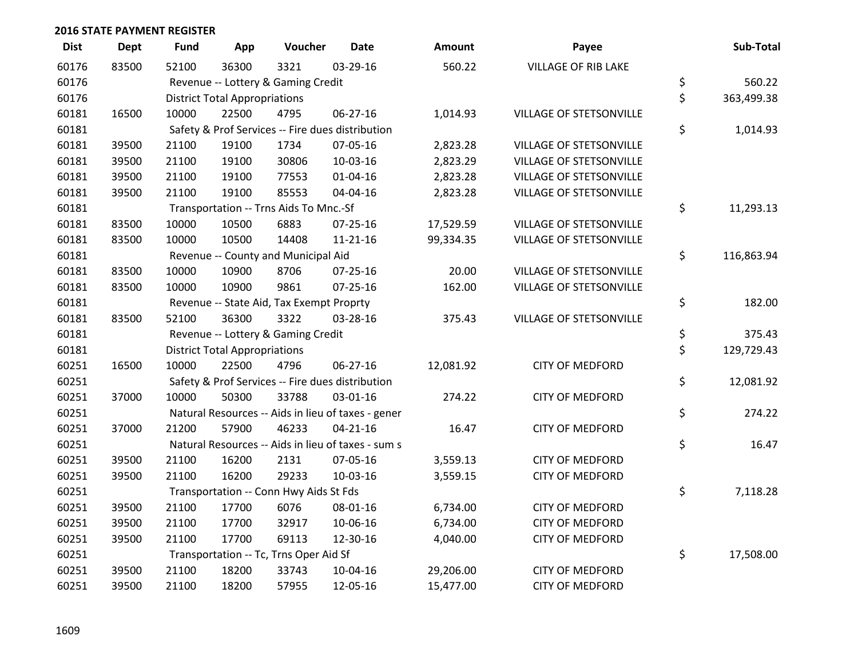| <b>Dist</b> | <b>Dept</b> | Fund  | App                                  | Voucher                                  | <b>Date</b>                                        | Amount    | Payee                          | Sub-Total        |
|-------------|-------------|-------|--------------------------------------|------------------------------------------|----------------------------------------------------|-----------|--------------------------------|------------------|
| 60176       | 83500       | 52100 | 36300                                | 3321                                     | 03-29-16                                           | 560.22    | <b>VILLAGE OF RIB LAKE</b>     |                  |
| 60176       |             |       |                                      | Revenue -- Lottery & Gaming Credit       |                                                    |           |                                | \$<br>560.22     |
| 60176       |             |       | <b>District Total Appropriations</b> |                                          |                                                    |           |                                | \$<br>363,499.38 |
| 60181       | 16500       | 10000 | 22500                                | 4795                                     | 06-27-16                                           | 1,014.93  | VILLAGE OF STETSONVILLE        |                  |
| 60181       |             |       |                                      |                                          | Safety & Prof Services -- Fire dues distribution   |           |                                | \$<br>1,014.93   |
| 60181       | 39500       | 21100 | 19100                                | 1734                                     | 07-05-16                                           | 2,823.28  | VILLAGE OF STETSONVILLE        |                  |
| 60181       | 39500       | 21100 | 19100                                | 30806                                    | $10-03-16$                                         | 2,823.29  | <b>VILLAGE OF STETSONVILLE</b> |                  |
| 60181       | 39500       | 21100 | 19100                                | 77553                                    | $01 - 04 - 16$                                     | 2,823.28  | <b>VILLAGE OF STETSONVILLE</b> |                  |
| 60181       | 39500       | 21100 | 19100                                | 85553                                    | 04-04-16                                           | 2,823.28  | VILLAGE OF STETSONVILLE        |                  |
| 60181       |             |       |                                      | Transportation -- Trns Aids To Mnc.-Sf   |                                                    |           |                                | \$<br>11,293.13  |
| 60181       | 83500       | 10000 | 10500                                | 6883                                     | $07 - 25 - 16$                                     | 17,529.59 | VILLAGE OF STETSONVILLE        |                  |
| 60181       | 83500       | 10000 | 10500                                | 14408                                    | $11 - 21 - 16$                                     | 99,334.35 | VILLAGE OF STETSONVILLE        |                  |
| 60181       |             |       |                                      | Revenue -- County and Municipal Aid      |                                                    |           |                                | \$<br>116,863.94 |
| 60181       | 83500       | 10000 | 10900                                | 8706                                     | $07 - 25 - 16$                                     | 20.00     | <b>VILLAGE OF STETSONVILLE</b> |                  |
| 60181       | 83500       | 10000 | 10900                                | 9861                                     | $07 - 25 - 16$                                     | 162.00    | VILLAGE OF STETSONVILLE        |                  |
| 60181       |             |       |                                      | Revenue -- State Aid, Tax Exempt Proprty |                                                    |           |                                | \$<br>182.00     |
| 60181       | 83500       | 52100 | 36300                                | 3322                                     | 03-28-16                                           | 375.43    | <b>VILLAGE OF STETSONVILLE</b> |                  |
| 60181       |             |       |                                      | Revenue -- Lottery & Gaming Credit       |                                                    |           |                                | \$<br>375.43     |
| 60181       |             |       | <b>District Total Appropriations</b> |                                          |                                                    |           |                                | \$<br>129,729.43 |
| 60251       | 16500       | 10000 | 22500                                | 4796                                     | 06-27-16                                           | 12,081.92 | <b>CITY OF MEDFORD</b>         |                  |
| 60251       |             |       |                                      |                                          | Safety & Prof Services -- Fire dues distribution   |           |                                | \$<br>12,081.92  |
| 60251       | 37000       | 10000 | 50300                                | 33788                                    | 03-01-16                                           | 274.22    | <b>CITY OF MEDFORD</b>         |                  |
| 60251       |             |       |                                      |                                          | Natural Resources -- Aids in lieu of taxes - gener |           |                                | \$<br>274.22     |
| 60251       | 37000       | 21200 | 57900                                | 46233                                    | $04 - 21 - 16$                                     | 16.47     | <b>CITY OF MEDFORD</b>         |                  |
| 60251       |             |       |                                      |                                          | Natural Resources -- Aids in lieu of taxes - sum s |           |                                | \$<br>16.47      |
| 60251       | 39500       | 21100 | 16200                                | 2131                                     | 07-05-16                                           | 3,559.13  | <b>CITY OF MEDFORD</b>         |                  |
| 60251       | 39500       | 21100 | 16200                                | 29233                                    | 10-03-16                                           | 3,559.15  | <b>CITY OF MEDFORD</b>         |                  |
| 60251       |             |       |                                      | Transportation -- Conn Hwy Aids St Fds   |                                                    |           |                                | \$<br>7,118.28   |
| 60251       | 39500       | 21100 | 17700                                | 6076                                     | 08-01-16                                           | 6,734.00  | <b>CITY OF MEDFORD</b>         |                  |
| 60251       | 39500       | 21100 | 17700                                | 32917                                    | 10-06-16                                           | 6,734.00  | <b>CITY OF MEDFORD</b>         |                  |
| 60251       | 39500       | 21100 | 17700                                | 69113                                    | 12-30-16                                           | 4,040.00  | <b>CITY OF MEDFORD</b>         |                  |
| 60251       |             |       |                                      | Transportation -- Tc, Trns Oper Aid Sf   |                                                    |           |                                | \$<br>17,508.00  |
| 60251       | 39500       | 21100 | 18200                                | 33743                                    | 10-04-16                                           | 29,206.00 | <b>CITY OF MEDFORD</b>         |                  |
| 60251       | 39500       | 21100 | 18200                                | 57955                                    | 12-05-16                                           | 15,477.00 | <b>CITY OF MEDFORD</b>         |                  |